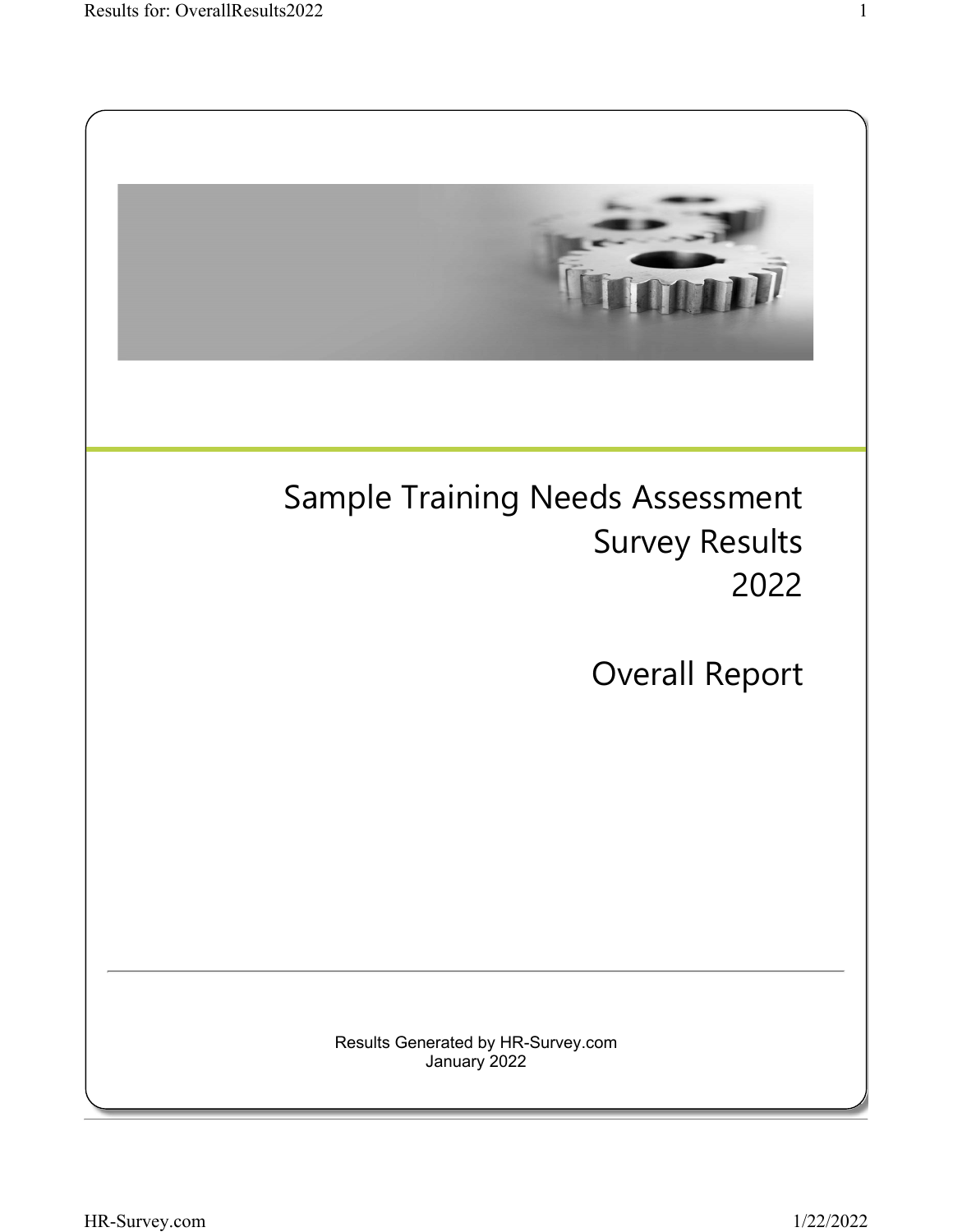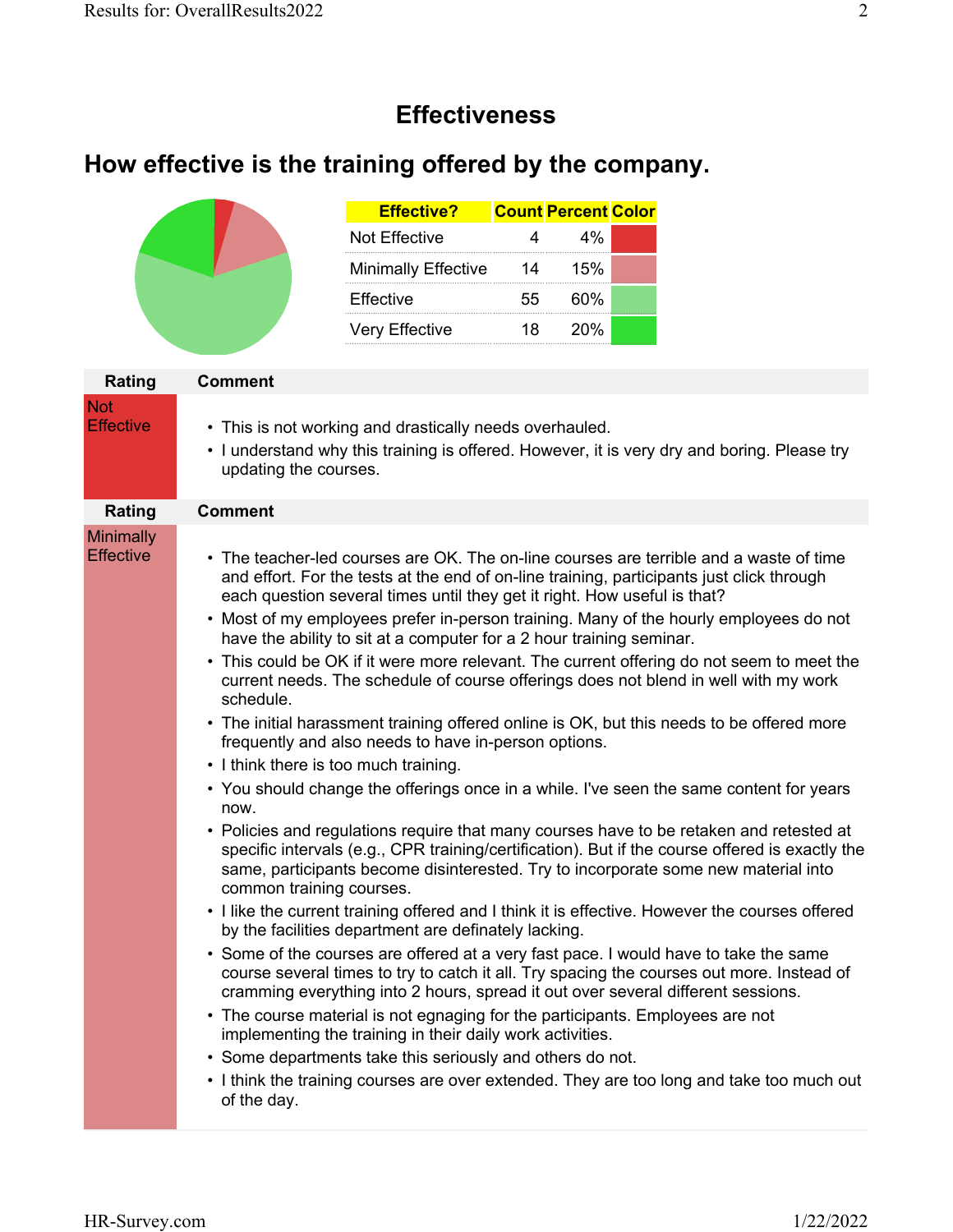#### **Effectiveness**

# **How effective is the training offered by the company.**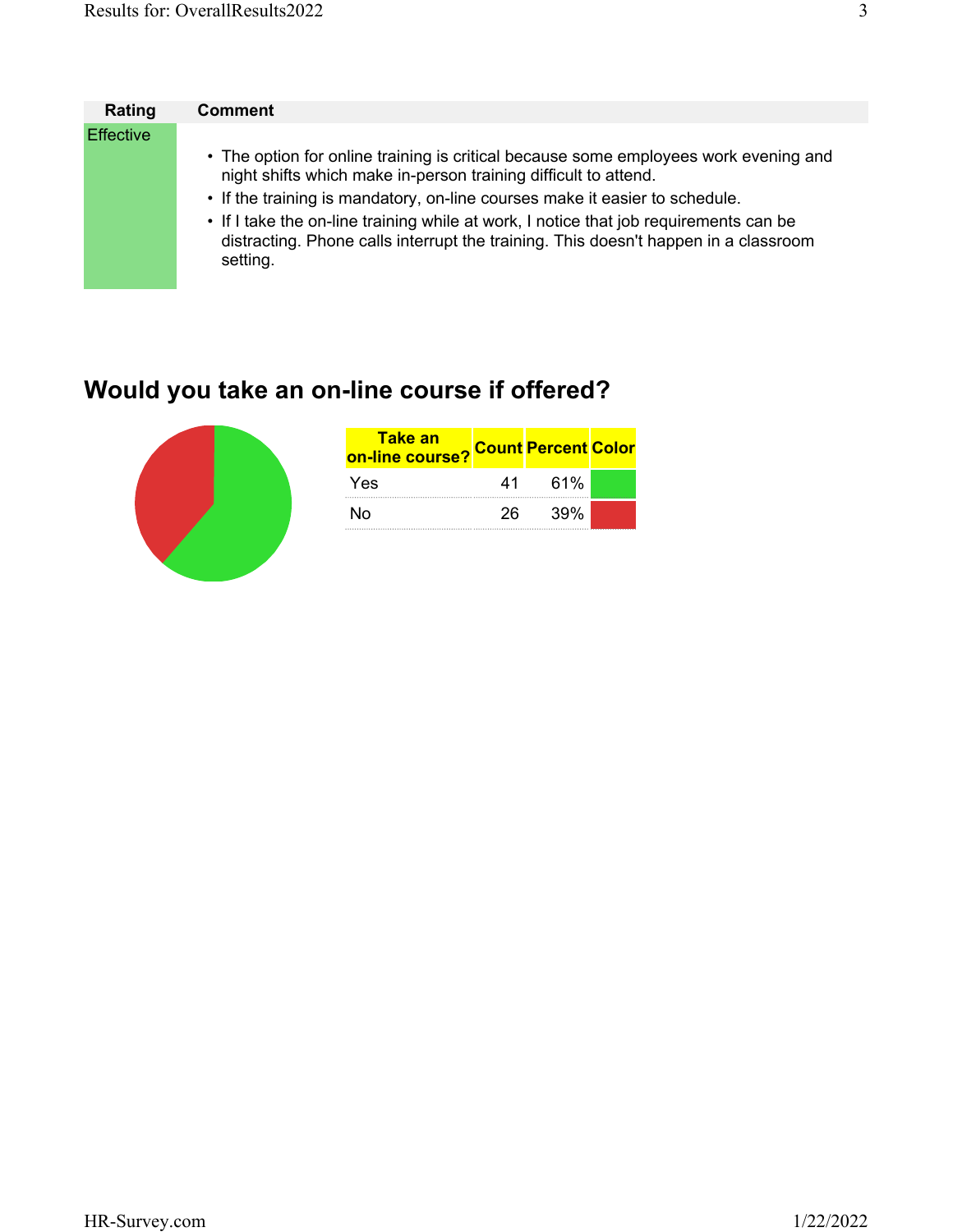| Rating           | <b>Comment</b>                                                                                                                                                                           |
|------------------|------------------------------------------------------------------------------------------------------------------------------------------------------------------------------------------|
| <b>Effective</b> |                                                                                                                                                                                          |
|                  | • The option for online training is critical because some employees work evening and<br>night shifts which make in-person training difficult to attend.                                  |
|                  | • If the training is mandatory, on-line courses make it easier to schedule.                                                                                                              |
|                  | • If I take the on-line training while at work, I notice that job requirements can be<br>distracting. Phone calls interrupt the training. This doesn't happen in a classroom<br>setting. |

# **Would you take an on-line course if offered?**



| <b>Take an</b><br>on-line course? |     | <b>Count Percent Color</b> |  |
|-----------------------------------|-----|----------------------------|--|
| Yes                               | 41  | 61%                        |  |
| N٥                                | 26. | 39%                        |  |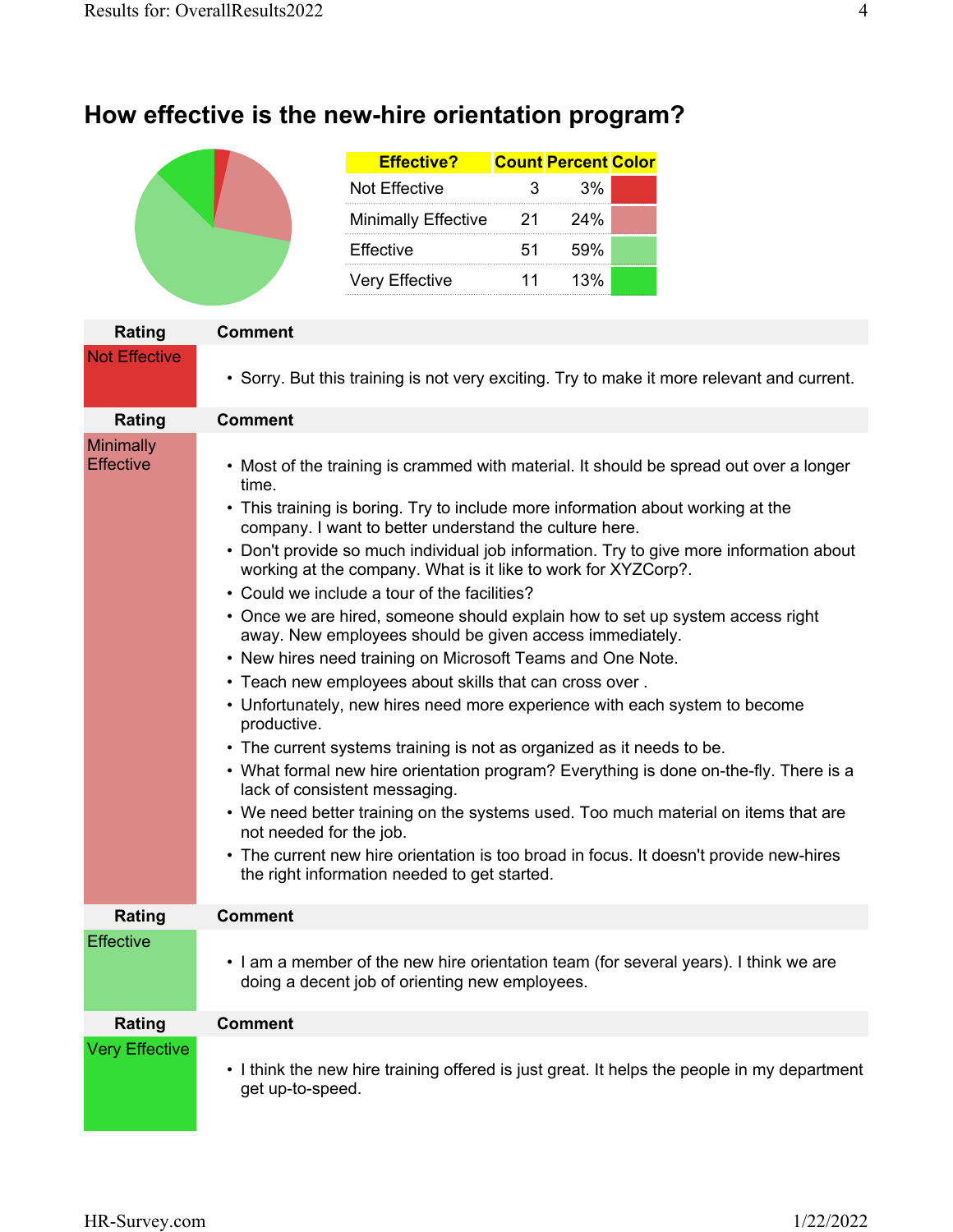# **How effective is the new-hire orientation program?**

| <b>Effective?</b>          |      | <b>Count Percent Color</b> |  |
|----------------------------|------|----------------------------|--|
| Not Effective              | 3    | 3%                         |  |
| <b>Minimally Effective</b> | - 21 | 24%                        |  |
| <b>Effective</b>           | 51.  | 59%                        |  |
| <b>Very Effective</b>      | 11   | 13%                        |  |

| Rating                               | Comment                                                                                                                                                                                                                                                                                                                                                                                                                                                                                                                                                                                                                                                                                                                                                                                                                                                                                                                                                                                                                                                                                                                                                                                                                                                                                 |
|--------------------------------------|-----------------------------------------------------------------------------------------------------------------------------------------------------------------------------------------------------------------------------------------------------------------------------------------------------------------------------------------------------------------------------------------------------------------------------------------------------------------------------------------------------------------------------------------------------------------------------------------------------------------------------------------------------------------------------------------------------------------------------------------------------------------------------------------------------------------------------------------------------------------------------------------------------------------------------------------------------------------------------------------------------------------------------------------------------------------------------------------------------------------------------------------------------------------------------------------------------------------------------------------------------------------------------------------|
| <b>Not Effective</b>                 | • Sorry. But this training is not very exciting. Try to make it more relevant and current.                                                                                                                                                                                                                                                                                                                                                                                                                                                                                                                                                                                                                                                                                                                                                                                                                                                                                                                                                                                                                                                                                                                                                                                              |
| Rating                               | <b>Comment</b>                                                                                                                                                                                                                                                                                                                                                                                                                                                                                                                                                                                                                                                                                                                                                                                                                                                                                                                                                                                                                                                                                                                                                                                                                                                                          |
| <b>Minimally</b><br><b>Effective</b> | • Most of the training is crammed with material. It should be spread out over a longer<br>time.<br>• This training is boring. Try to include more information about working at the<br>company. I want to better understand the culture here.<br>• Don't provide so much individual job information. Try to give more information about<br>working at the company. What is it like to work for XYZCorp?.<br>• Could we include a tour of the facilities?<br>• Once we are hired, someone should explain how to set up system access right<br>away. New employees should be given access immediately.<br>• New hires need training on Microsoft Teams and One Note.<br>• Teach new employees about skills that can cross over.<br>• Unfortunately, new hires need more experience with each system to become<br>productive.<br>• The current systems training is not as organized as it needs to be.<br>• What formal new hire orientation program? Everything is done on-the-fly. There is a<br>lack of consistent messaging.<br>• We need better training on the systems used. Too much material on items that are<br>not needed for the job.<br>• The current new hire orientation is too broad in focus. It doesn't provide new-hires<br>the right information needed to get started. |
| Rating                               | <b>Comment</b>                                                                                                                                                                                                                                                                                                                                                                                                                                                                                                                                                                                                                                                                                                                                                                                                                                                                                                                                                                                                                                                                                                                                                                                                                                                                          |
| Effective                            | • I am a member of the new hire orientation team (for several years). I think we are<br>doing a decent job of orienting new employees.                                                                                                                                                                                                                                                                                                                                                                                                                                                                                                                                                                                                                                                                                                                                                                                                                                                                                                                                                                                                                                                                                                                                                  |
| Rating                               | <b>Comment</b>                                                                                                                                                                                                                                                                                                                                                                                                                                                                                                                                                                                                                                                                                                                                                                                                                                                                                                                                                                                                                                                                                                                                                                                                                                                                          |
| <b>Very Effective</b>                | • I think the new hire training offered is just great. It helps the people in my department<br>get up-to-speed.                                                                                                                                                                                                                                                                                                                                                                                                                                                                                                                                                                                                                                                                                                                                                                                                                                                                                                                                                                                                                                                                                                                                                                         |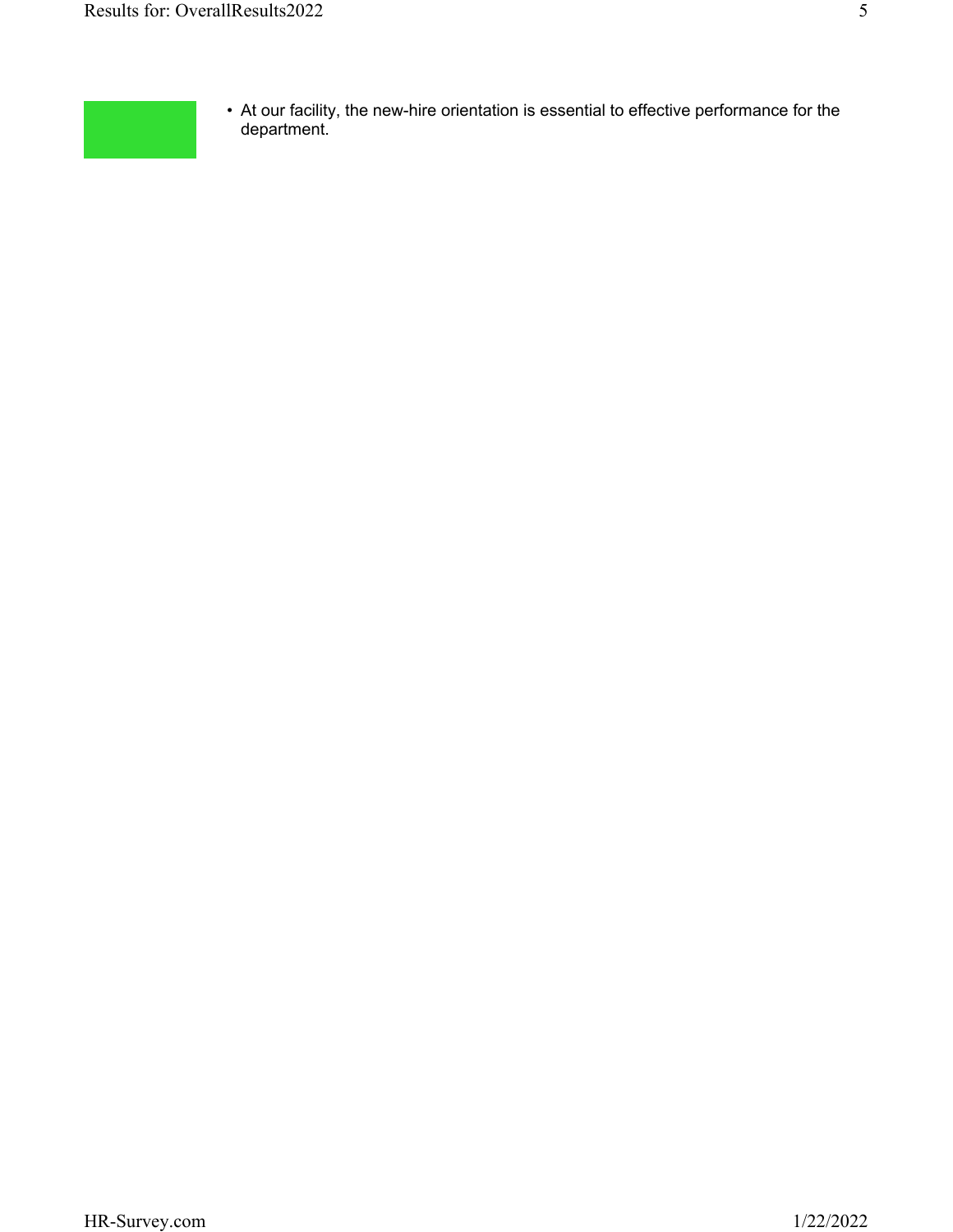

• At our facility, the new-hire orientation is essential to effective performance for the department.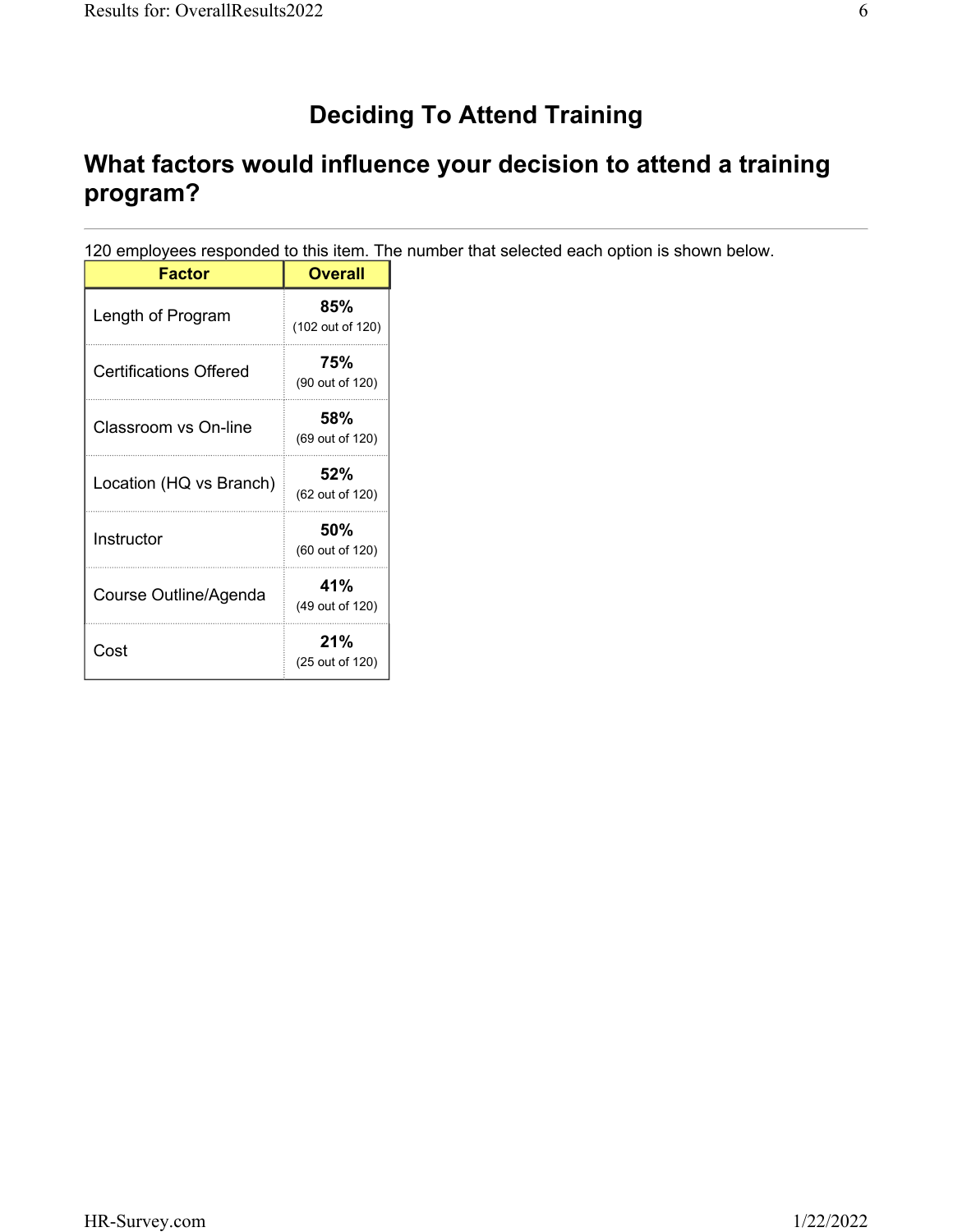# **Deciding To Attend Training**

# **What factors would influence your decision to attend a training program?**

120 employees responded to this item. The number that selected each option is shown below.

| <b>Factor</b>           | Overall                 |
|-------------------------|-------------------------|
| Length of Program       | 85%<br>(102 out of 120) |
| Certifications Offered  | 75%<br>(90 out of 120)  |
| Classroom vs On-line    | 58%<br>(69 out of 120)  |
| Location (HQ vs Branch) | 52%<br>(62 out of 120)  |
| Instructor              | 50%<br>(60 out of 120)  |
| Course Outline/Agenda   | 41%<br>(49 out of 120)  |
| Cost                    | 21%<br>(25 out of 120)  |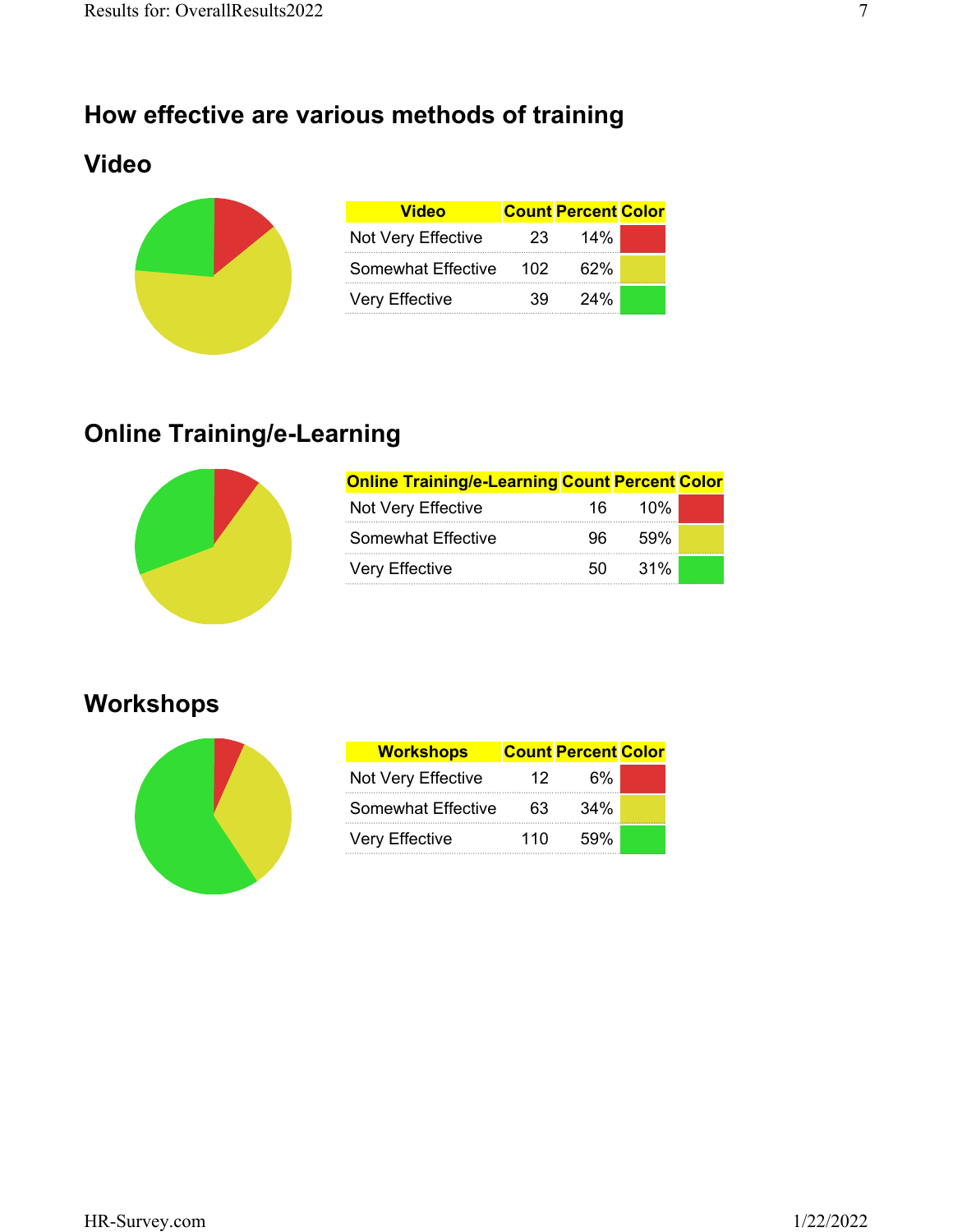## **How effective are various methods of training**

## **Video**



| <b>Video</b>          |     | <b>Count Percent Color</b> |  |
|-----------------------|-----|----------------------------|--|
| Not Very Effective    | 23  | 14%                        |  |
| Somewhat Effective    | 102 | 62%                        |  |
| <b>Very Effective</b> | 39. | 24%                        |  |

# **Online Training/e-Learning**



| <b>Online Training/e-Learning Count Percent Color</b> |     |        |  |
|-------------------------------------------------------|-----|--------|--|
| Not Very Effective                                    | 16. | 10%    |  |
| Somewhat Effective                                    | 96. | .59%   |  |
| Very Effective                                        | 50  | $31\%$ |  |

## **Workshops**



| <b>Workshops</b>          |     | <b>Count Percent Color</b> |  |
|---------------------------|-----|----------------------------|--|
| Not Very Effective        | 12  | 6%                         |  |
| <b>Somewhat Effective</b> | 63  | 34%                        |  |
| Very Effective            | 110 | 59%                        |  |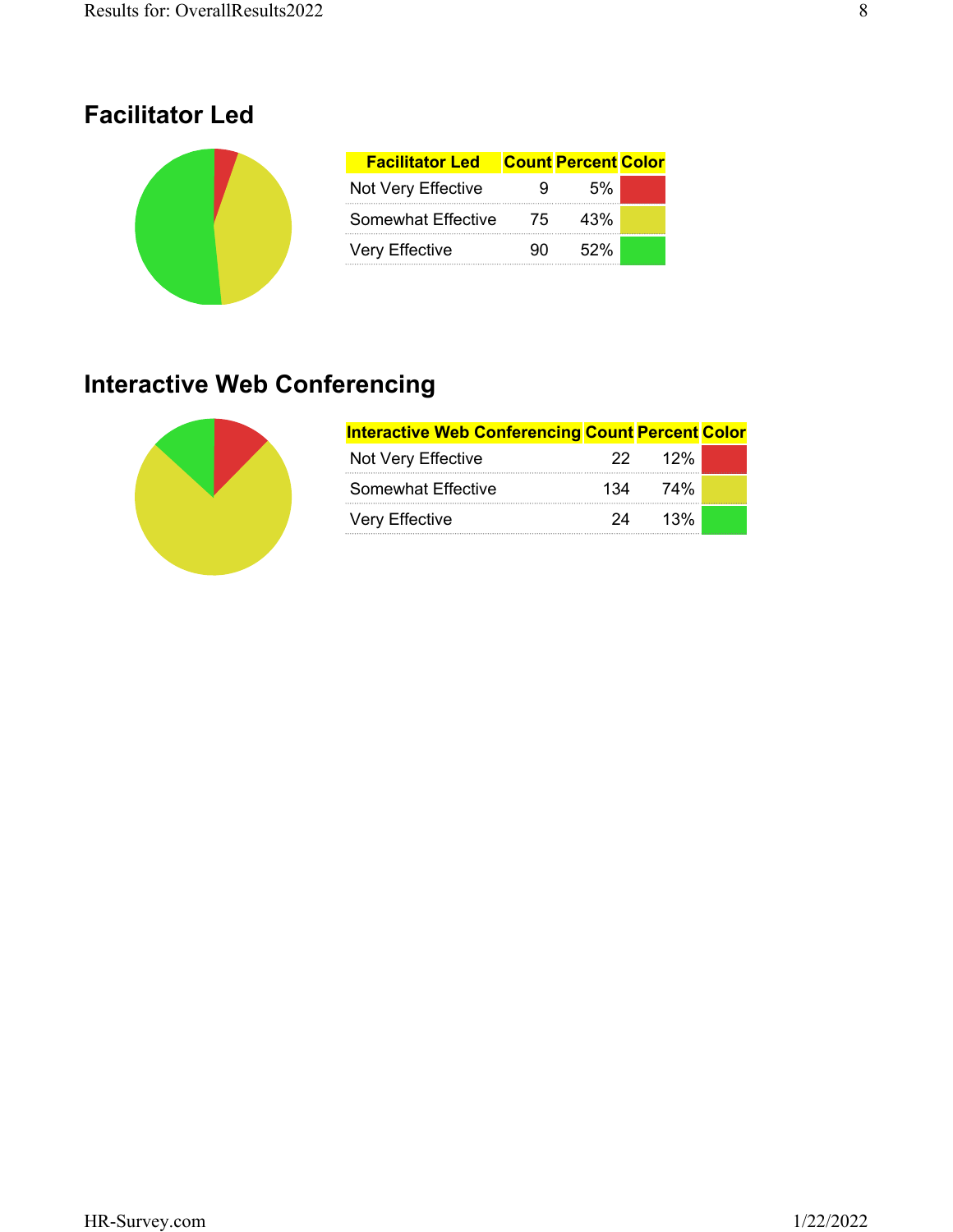#### **Facilitator Led**

| <b>Facilitator Led</b>    |    | <b>Count Percent Color</b> |  |
|---------------------------|----|----------------------------|--|
| Not Very Effective        | 9  | 5%                         |  |
| <b>Somewhat Effective</b> | 75 | 43%                        |  |
| <b>Very Effective</b>     | 90 | 52%                        |  |

# **Interactive Web Conferencing**



| <b>Interactive Web Conferencing Count Percent Color</b> |     |                    |  |
|---------------------------------------------------------|-----|--------------------|--|
| Not Very Effective                                      |     | 22 12 <sup>%</sup> |  |
| Somewhat Effective                                      | 134 | 74%                |  |
| Very Effective                                          | 24  | 13%                |  |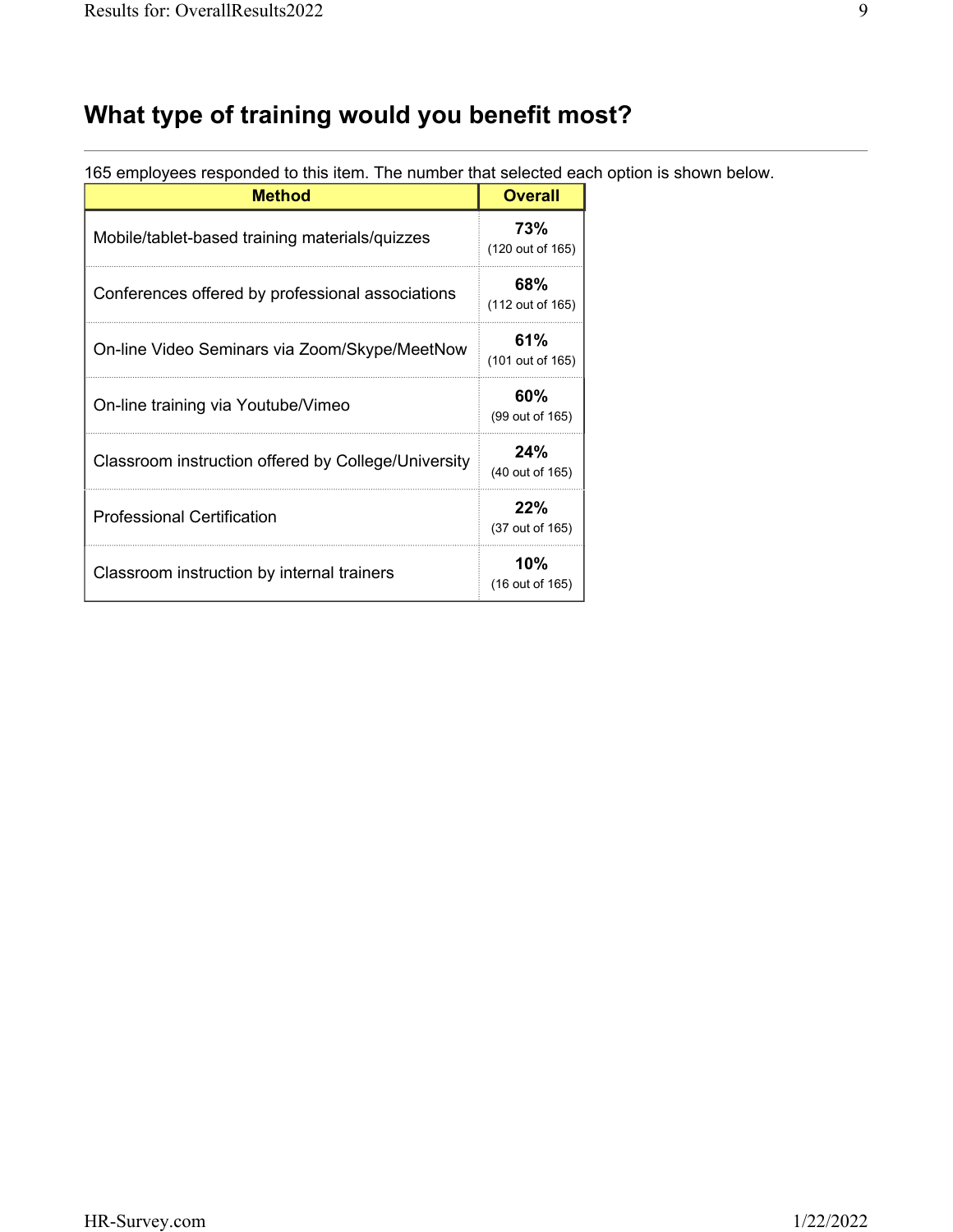# **What type of training would you benefit most?**

| <b>Method</b>                                       | <b>Overall</b>          |
|-----------------------------------------------------|-------------------------|
| Mobile/tablet-based training materials/quizzes      | 73%<br>(120 out of 165) |
| Conferences offered by professional associations    | 68%<br>(112 out of 165) |
| On-line Video Seminars via Zoom/Skype/MeetNow       | 61%<br>(101 out of 165) |
| On-line training via Youtube/Vimeo                  | 60%<br>(99 out of 165)  |
| Classroom instruction offered by College/University | 24%<br>(40 out of 165)  |
| <b>Professional Certification</b>                   | 22%<br>(37 out of 165)  |
| Classroom instruction by internal trainers          | 10%<br>(16 out of 165)  |

165 employees responded to this item. The number that selected each option is shown below.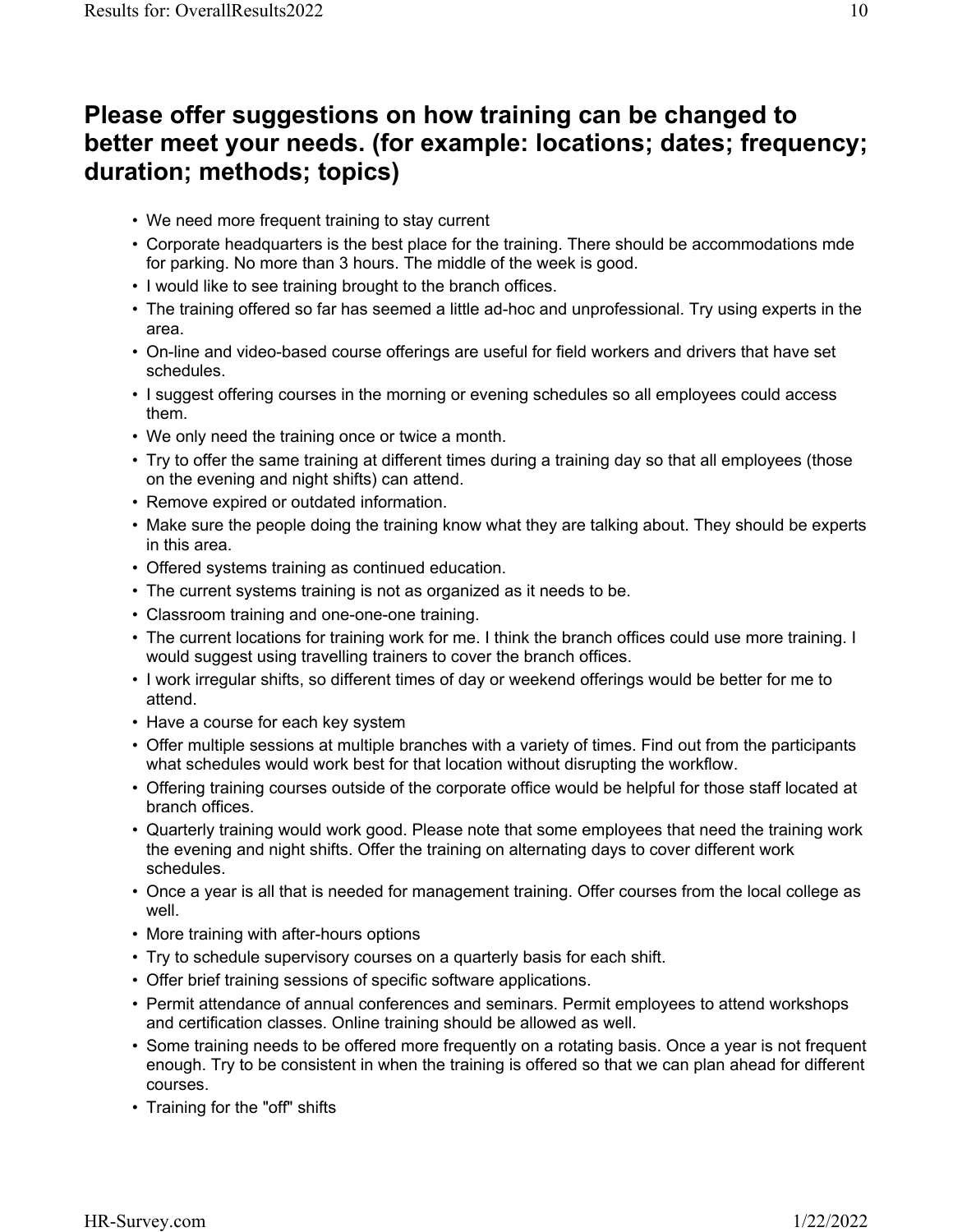#### **Please offer suggestions on how training can be changed to better meet your needs. (for example: locations; dates; frequency; duration; methods; topics)**

- We need more frequent training to stay current
- Corporate headquarters is the best place for the training. There should be accommodations mde for parking. No more than 3 hours. The middle of the week is good.
- I would like to see training brought to the branch offices.
- The training offered so far has seemed a little ad-hoc and unprofessional. Try using experts in the area.
- On-line and video-based course offerings are useful for field workers and drivers that have set schedules.
- I suggest offering courses in the morning or evening schedules so all employees could access them.
- We only need the training once or twice a month.
- Try to offer the same training at different times during a training day so that all employees (those on the evening and night shifts) can attend.
- Remove expired or outdated information.
- Make sure the people doing the training know what they are talking about. They should be experts in this area.
- Offered systems training as continued education.
- The current systems training is not as organized as it needs to be.
- Classroom training and one-one-one training.
- The current locations for training work for me. I think the branch offices could use more training. I would suggest using travelling trainers to cover the branch offices.
- I work irregular shifts, so different times of day or weekend offerings would be better for me to attend.
- Have a course for each key system
- Offer multiple sessions at multiple branches with a variety of times. Find out from the participants what schedules would work best for that location without disrupting the workflow.
- Offering training courses outside of the corporate office would be helpful for those staff located at branch offices.
- Quarterly training would work good. Please note that some employees that need the training work the evening and night shifts. Offer the training on alternating days to cover different work schedules.
- Once a year is all that is needed for management training. Offer courses from the local college as well.
- More training with after-hours options
- Try to schedule supervisory courses on a quarterly basis for each shift.
- Offer brief training sessions of specific software applications.
- Permit attendance of annual conferences and seminars. Permit employees to attend workshops and certification classes. Online training should be allowed as well.
- Some training needs to be offered more frequently on a rotating basis. Once a year is not frequent enough. Try to be consistent in when the training is offered so that we can plan ahead for different courses.
- Training for the "off" shifts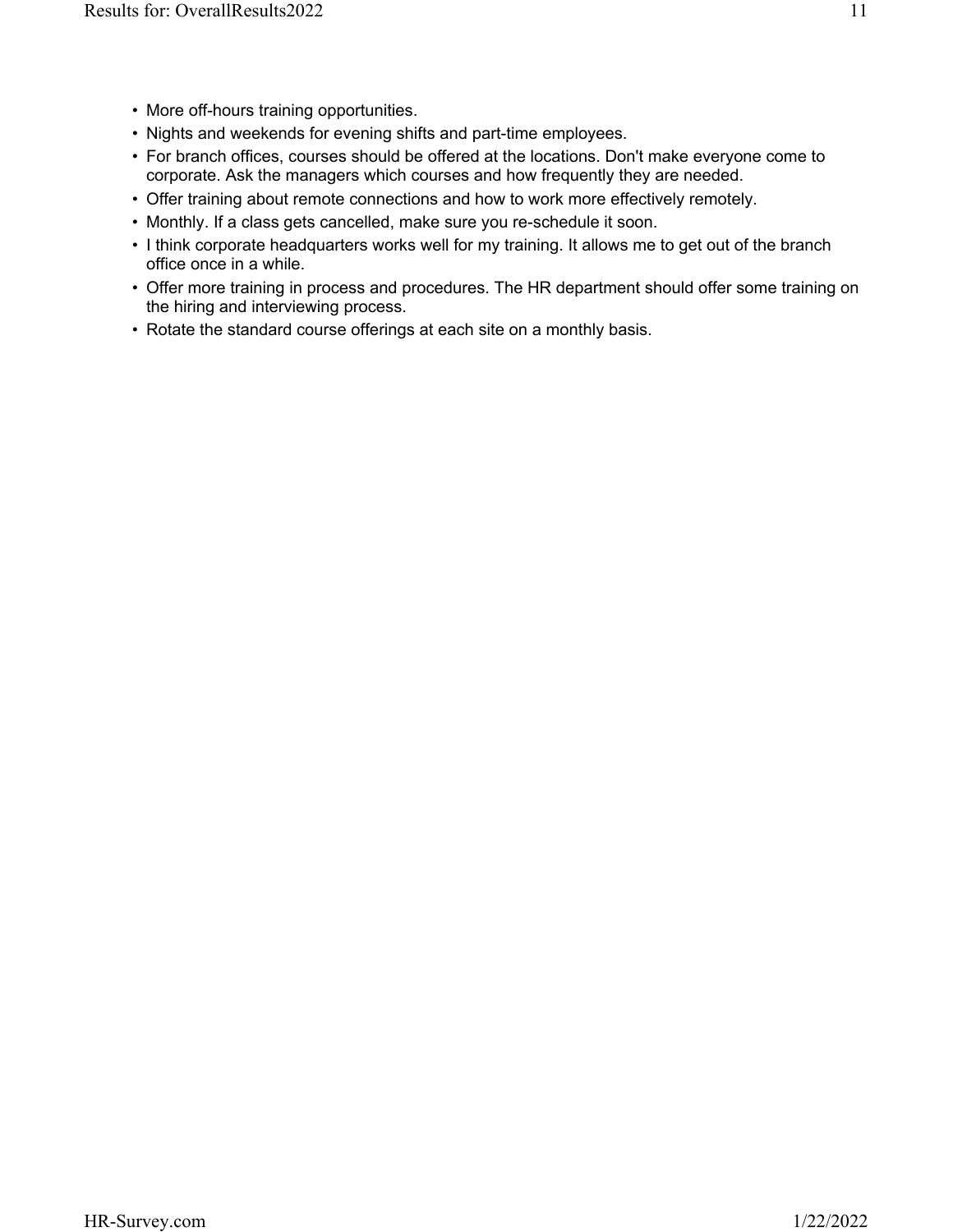- More off-hours training opportunities.
- Nights and weekends for evening shifts and part-time employees.
- For branch offices, courses should be offered at the locations. Don't make everyone come to corporate. Ask the managers which courses and how frequently they are needed.
- Offer training about remote connections and how to work more effectively remotely.
- Monthly. If a class gets cancelled, make sure you re-schedule it soon.
- I think corporate headquarters works well for my training. It allows me to get out of the branch office once in a while.
- Offer more training in process and procedures. The HR department should offer some training on the hiring and interviewing process.
- Rotate the standard course offerings at each site on a monthly basis.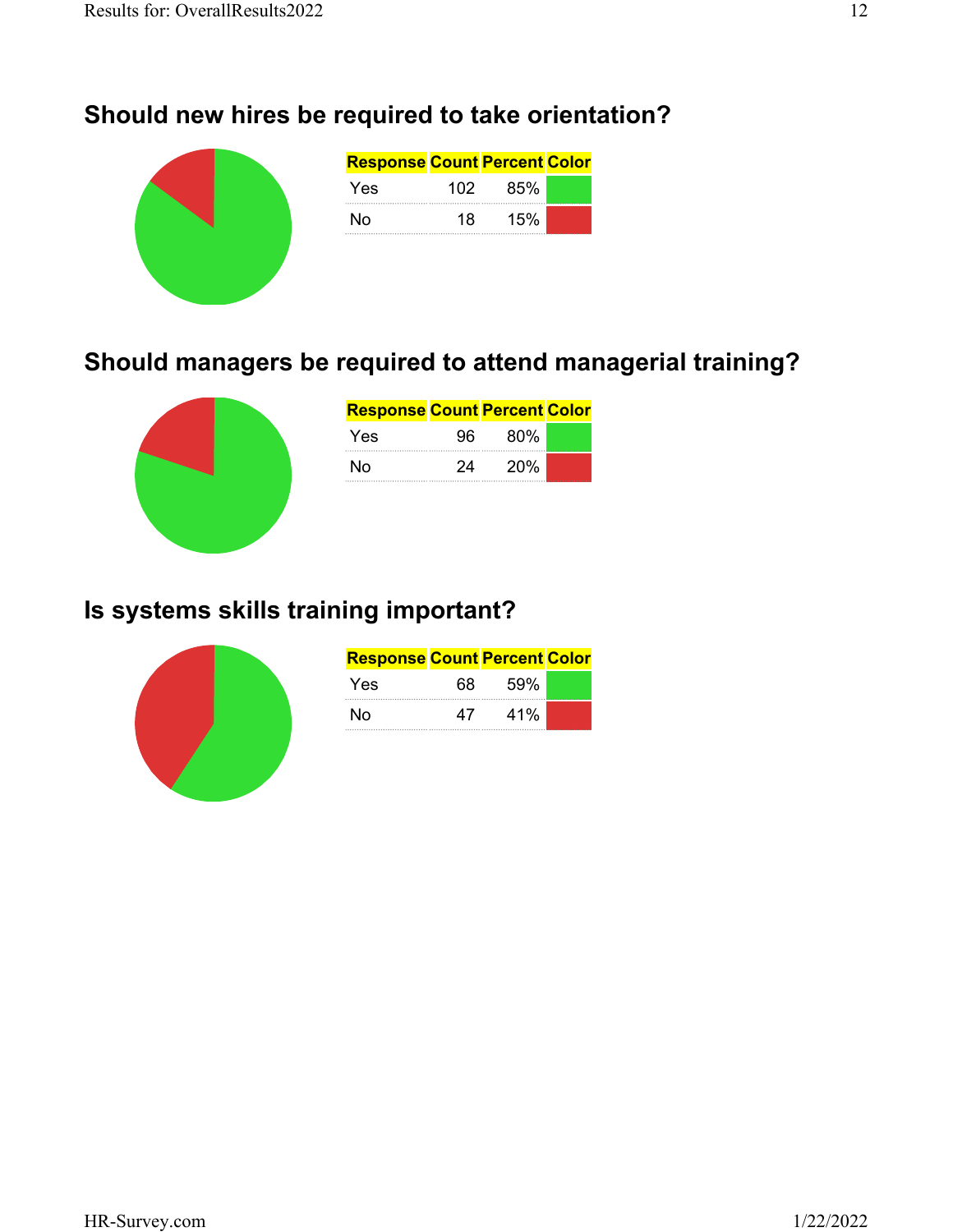# **Should new hires be required to take orientation?**

| <b>Response Count Percent Color</b> |     |     |  |
|-------------------------------------|-----|-----|--|
| Yes                                 | 102 | 85% |  |
| No                                  | 18  | 15% |  |
|                                     |     |     |  |
|                                     |     |     |  |

# **Should managers be required to attend managerial training?**



| <b>Response Count Percent Color</b> |     |            |  |
|-------------------------------------|-----|------------|--|
| Yes                                 | 96. | 80%        |  |
| N٥                                  | 24  | <b>20%</b> |  |

# **Is systems skills training important?**



| <b>Response Count Percent Color</b> |    |     |  |
|-------------------------------------|----|-----|--|
| Yes.                                | 68 | 59% |  |
| N٥                                  | 47 | 41% |  |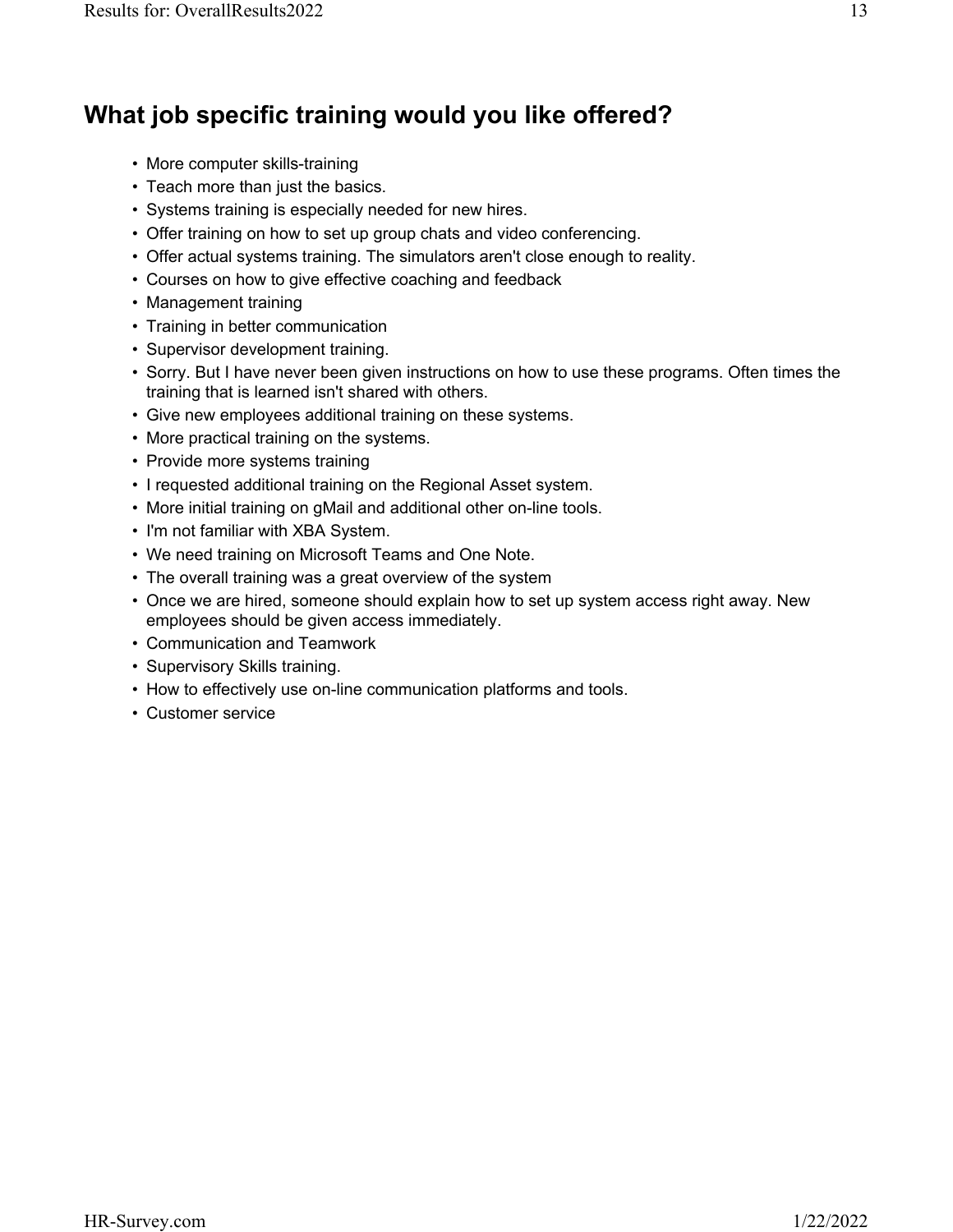## **What job specific training would you like offered?**

- More computer skills-training
- Teach more than just the basics.
- Systems training is especially needed for new hires.
- Offer training on how to set up group chats and video conferencing.
- Offer actual systems training. The simulators aren't close enough to reality.
- Courses on how to give effective coaching and feedback
- Management training
- Training in better communication
- Supervisor development training.
- Sorry. But I have never been given instructions on how to use these programs. Often times the training that is learned isn't shared with others.
- Give new employees additional training on these systems.
- More practical training on the systems.
- Provide more systems training
- I requested additional training on the Regional Asset system.
- More initial training on gMail and additional other on-line tools.
- I'm not familiar with XBA System.
- We need training on Microsoft Teams and One Note.
- The overall training was a great overview of the system
- Once we are hired, someone should explain how to set up system access right away. New employees should be given access immediately.
- Communication and Teamwork
- Supervisory Skills training.
- How to effectively use on-line communication platforms and tools.
- Customer service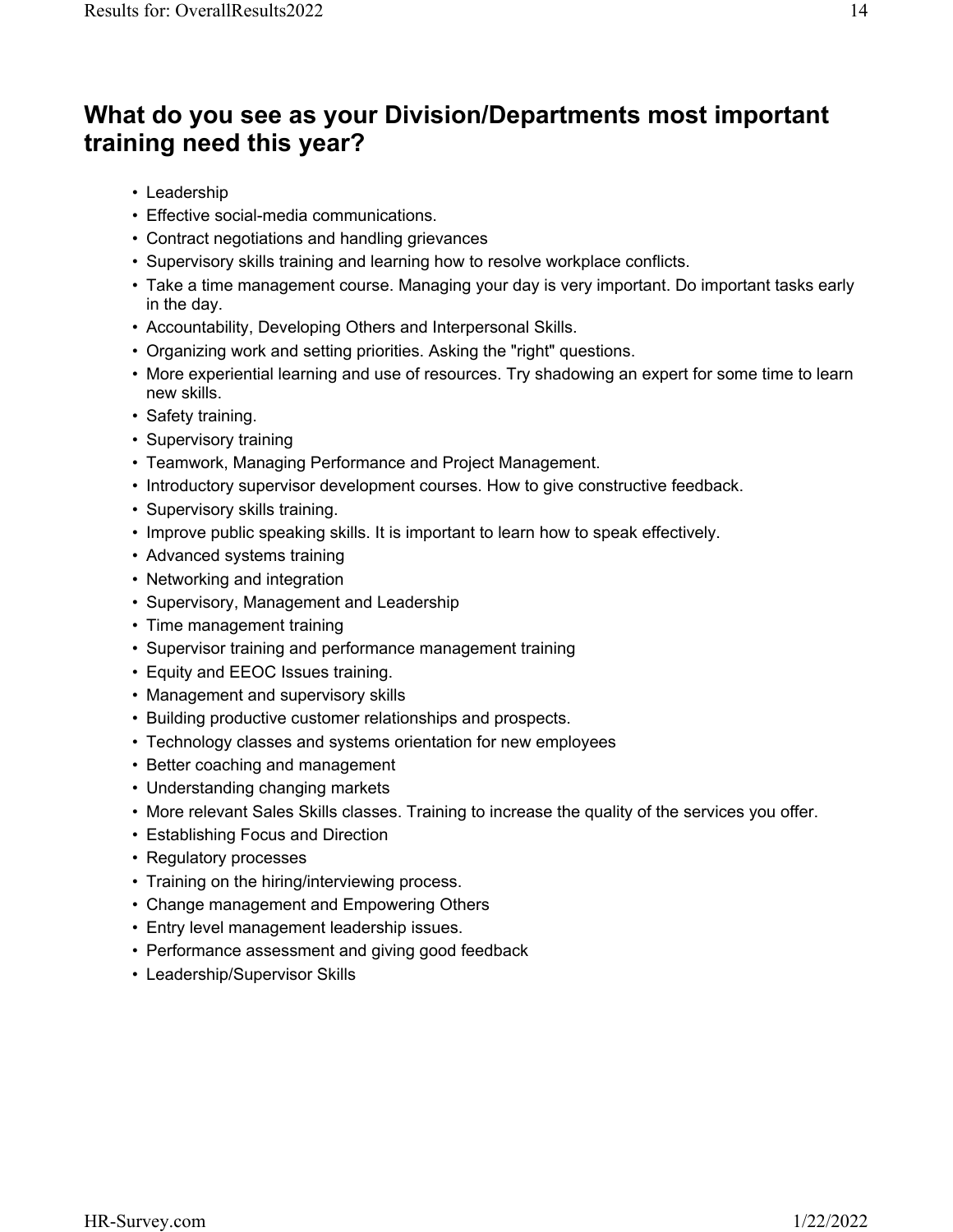#### **What do you see as your Division/Departments most important training need this year?**

- Leadership
- Effective social-media communications.
- Contract negotiations and handling grievances
- Supervisory skills training and learning how to resolve workplace conflicts.
- Take a time management course. Managing your day is very important. Do important tasks early in the day.
- Accountability, Developing Others and Interpersonal Skills.
- Organizing work and setting priorities. Asking the "right" questions.
- More experiential learning and use of resources. Try shadowing an expert for some time to learn new skills.
- Safety training.
- Supervisory training
- Teamwork, Managing Performance and Project Management.
- Introductory supervisor development courses. How to give constructive feedback.
- Supervisory skills training.
- Improve public speaking skills. It is important to learn how to speak effectively.
- Advanced systems training
- Networking and integration
- Supervisory, Management and Leadership
- Time management training
- Supervisor training and performance management training
- Equity and EEOC Issues training.
- Management and supervisory skills
- Building productive customer relationships and prospects.
- Technology classes and systems orientation for new employees
- Better coaching and management
- Understanding changing markets
- More relevant Sales Skills classes. Training to increase the quality of the services you offer.
- Establishing Focus and Direction
- Regulatory processes
- Training on the hiring/interviewing process.
- Change management and Empowering Others
- Entry level management leadership issues.
- Performance assessment and giving good feedback
- Leadership/Supervisor Skills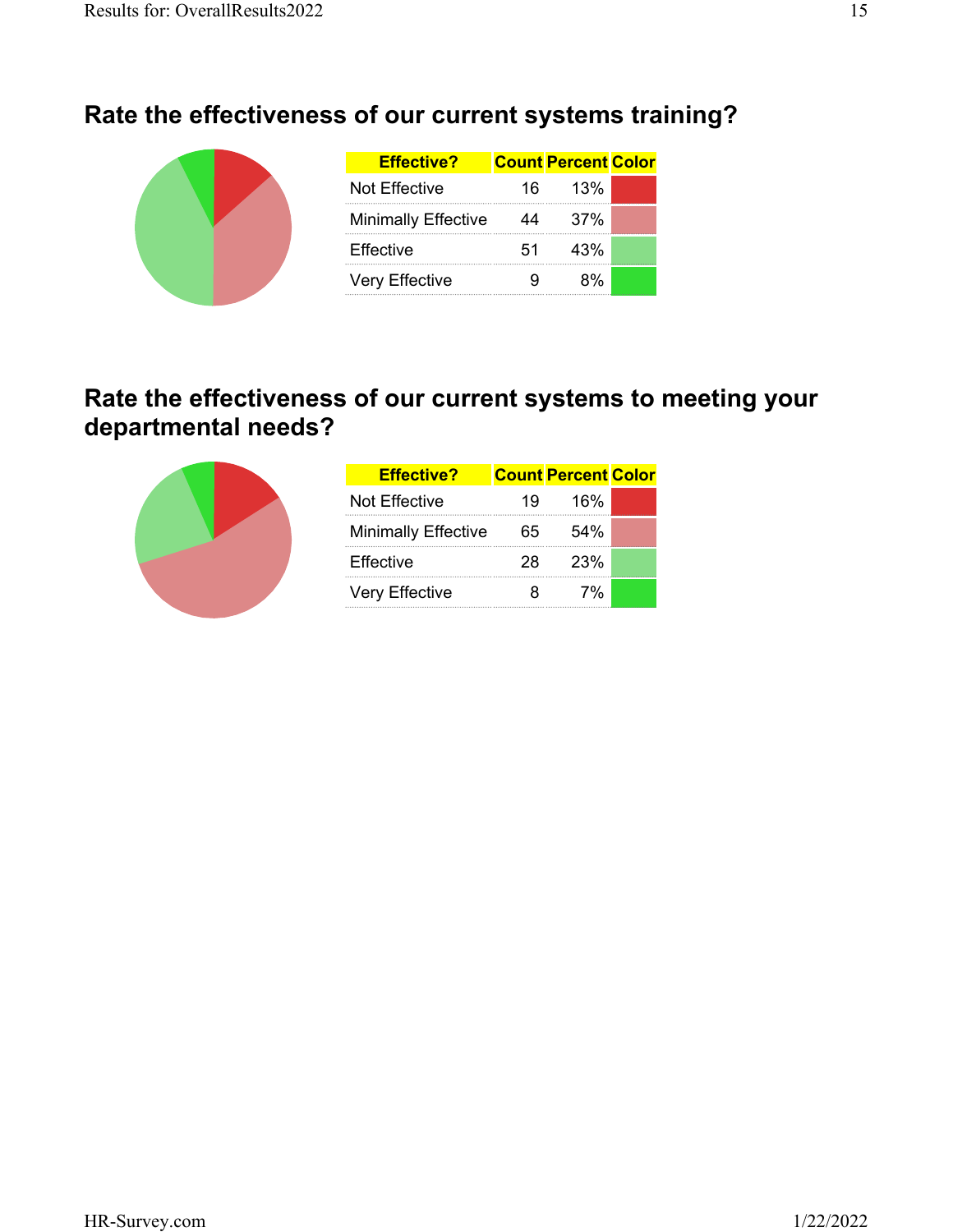# **Rate the effectiveness of our current systems training?**

| <b>Effective?</b>          |     | <b>Count Percent Color</b> |  |
|----------------------------|-----|----------------------------|--|
| Not Effective              | 16. | 13%                        |  |
| <b>Minimally Effective</b> | 44  | 37%                        |  |
| <b>Effective</b>           | 51  | 43%                        |  |
| <b>Very Effective</b>      |     | ጸ%                         |  |

#### **Rate the effectiveness of our current systems to meeting your departmental needs?**



| <b>Effective?</b>          |    | <b>Count Percent Color</b> |  |
|----------------------------|----|----------------------------|--|
| Not Effective              | 19 | 16%                        |  |
| <b>Minimally Effective</b> | 65 | 54%                        |  |
| <b>Effective</b>           | 28 | 23%                        |  |
| <b>Very Effective</b>      | 8  | 7%                         |  |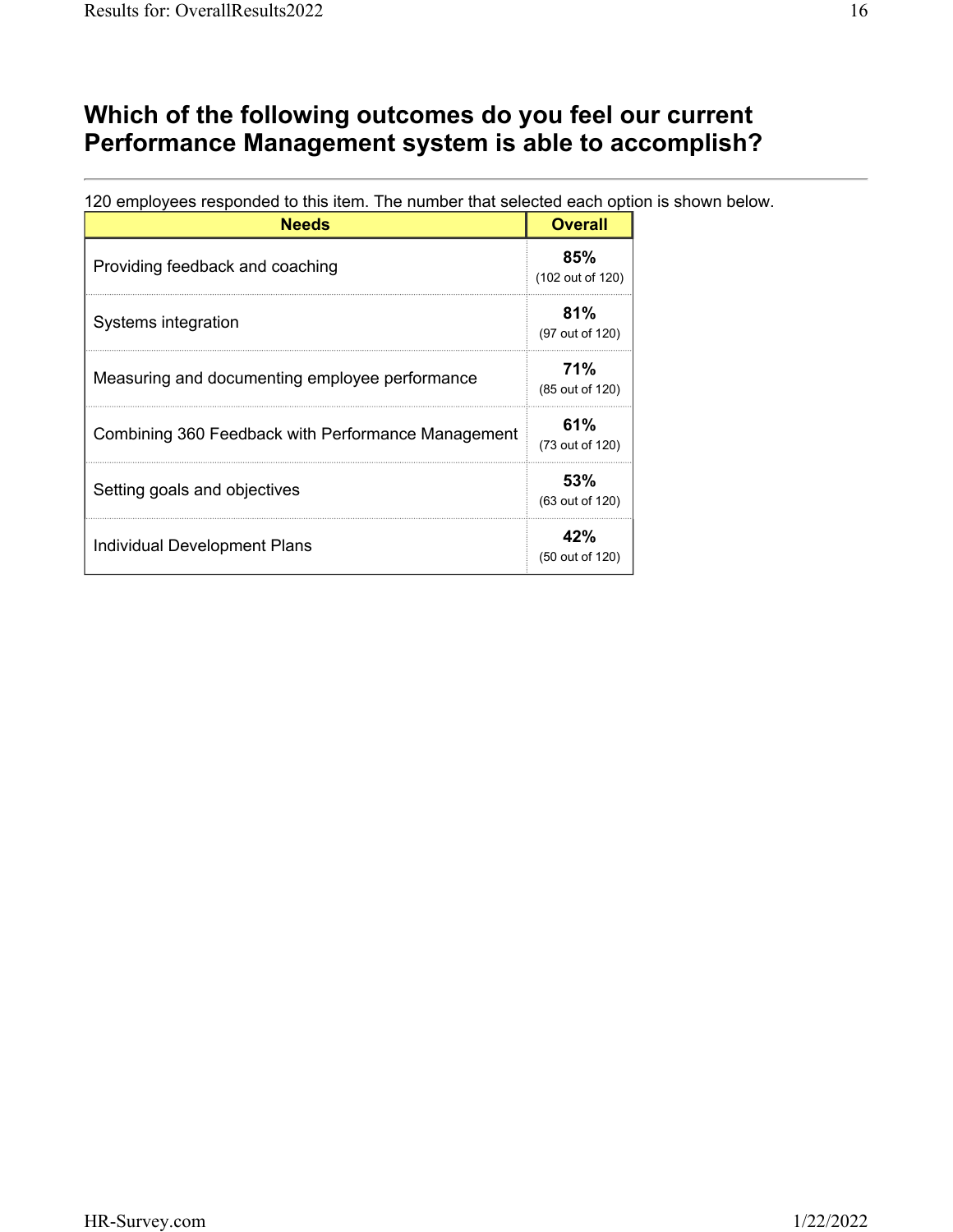#### **Which of the following outcomes do you feel our current Performance Management system is able to accomplish?**

120 employees responded to this item. The number that selected each option is shown below.

| <b>Needs</b>                                       | <b>Overall</b>          |
|----------------------------------------------------|-------------------------|
| Providing feedback and coaching                    | 85%<br>(102 out of 120) |
| Systems integration                                | 81%<br>(97 out of 120)  |
| Measuring and documenting employee performance     | 71%<br>(85 out of 120)  |
| Combining 360 Feedback with Performance Management | 61%<br>(73 out of 120)  |
| Setting goals and objectives                       | 53%<br>(63 out of 120)  |
| Individual Development Plans                       | 42%<br>(50 out of 120)  |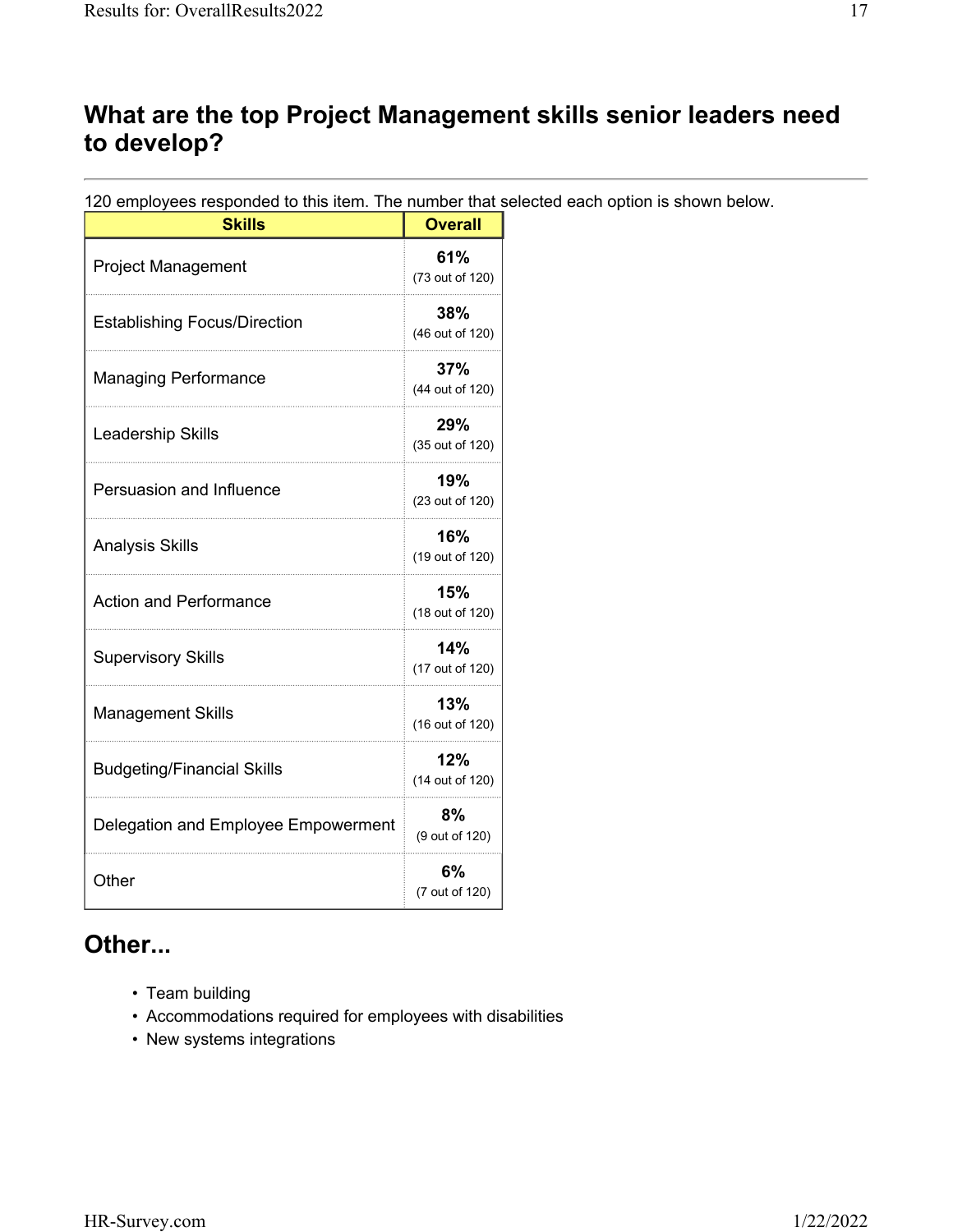#### **What are the top Project Management skills senior leaders need to develop?**

120 employees responded to this item. The number that selected each option is shown below.

| <b>Skills</b>                       | <b>Overall</b>         |
|-------------------------------------|------------------------|
| <b>Project Management</b>           | 61%<br>(73 out of 120) |
| <b>Establishing Focus/Direction</b> | 38%<br>(46 out of 120) |
| <b>Managing Performance</b>         | 37%<br>(44 out of 120) |
| Leadership Skills                   | 29%<br>(35 out of 120) |
| Persuasion and Influence            | 19%<br>(23 out of 120) |
| <b>Analysis Skills</b>              | 16%<br>(19 out of 120) |
| <b>Action and Performance</b>       | 15%<br>(18 out of 120) |
| <b>Supervisory Skills</b>           | 14%<br>(17 out of 120) |
| <b>Management Skills</b>            | 13%<br>(16 out of 120) |
| <b>Budgeting/Financial Skills</b>   | 12%<br>(14 out of 120) |
| Delegation and Employee Empowerment | 8%<br>(9 out of 120)   |
| Other                               | 6%<br>(7 out of 120)   |

#### **Other...**

- Team building
- Accommodations required for employees with disabilities
- New systems integrations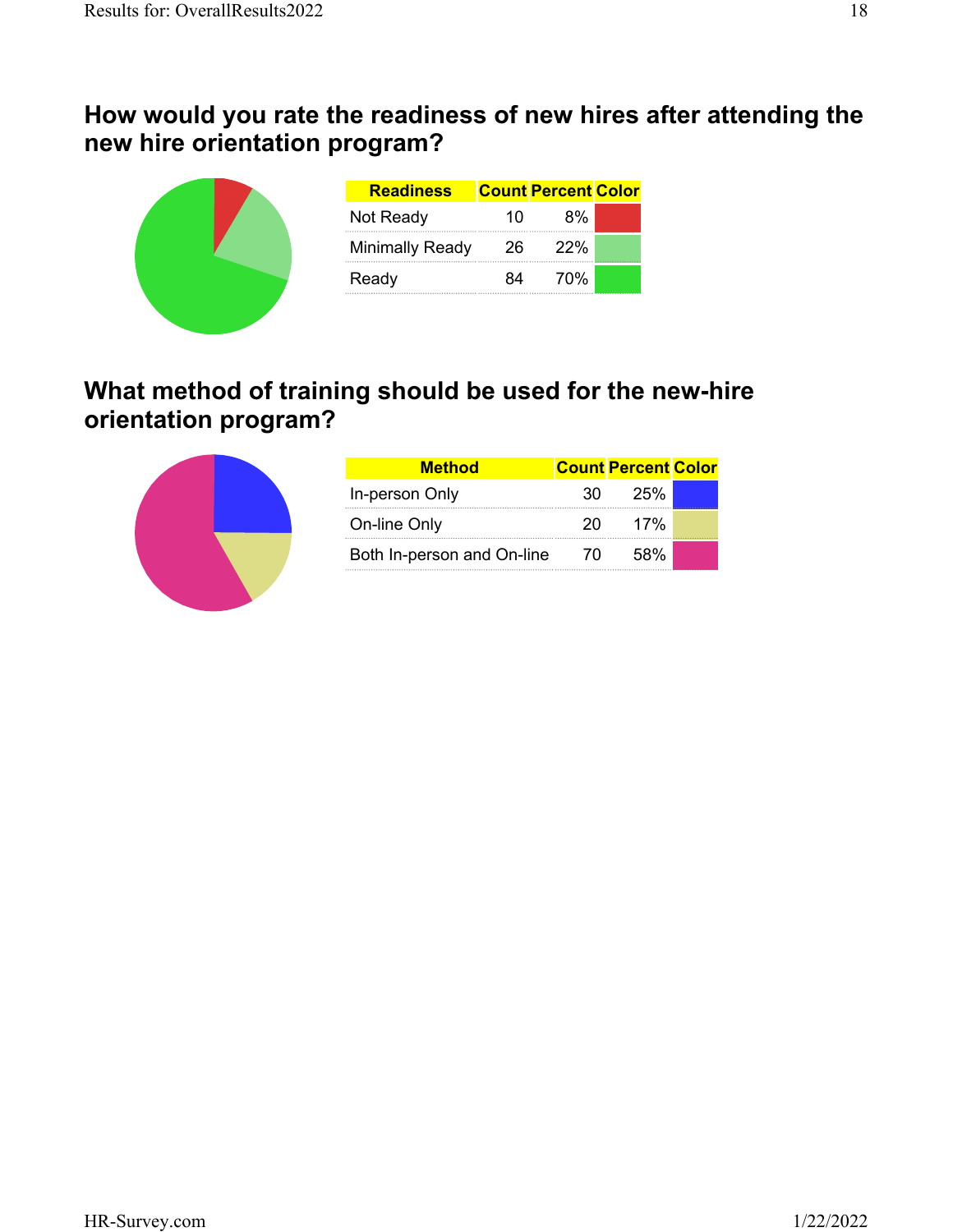#### **How would you rate the readiness of new hires after attending the new hire orientation program?**

| <b>Readiness</b> |    | <b>Count Percent Color</b> |  |
|------------------|----|----------------------------|--|
| Not Ready        | 10 | 8%                         |  |
| Minimally Ready  | 26 | <b>22%</b>                 |  |
| Ready            | 84 | 70%                        |  |

#### **What method of training should be used for the new-hire orientation program?**



| <b>Method</b>              |     | <b>Count Percent Color</b> |  |
|----------------------------|-----|----------------------------|--|
| In-person Only             | 30. | 25%                        |  |
| On-line Only               | 20. | 17%                        |  |
| Both In-person and On-line | 70  | 58%                        |  |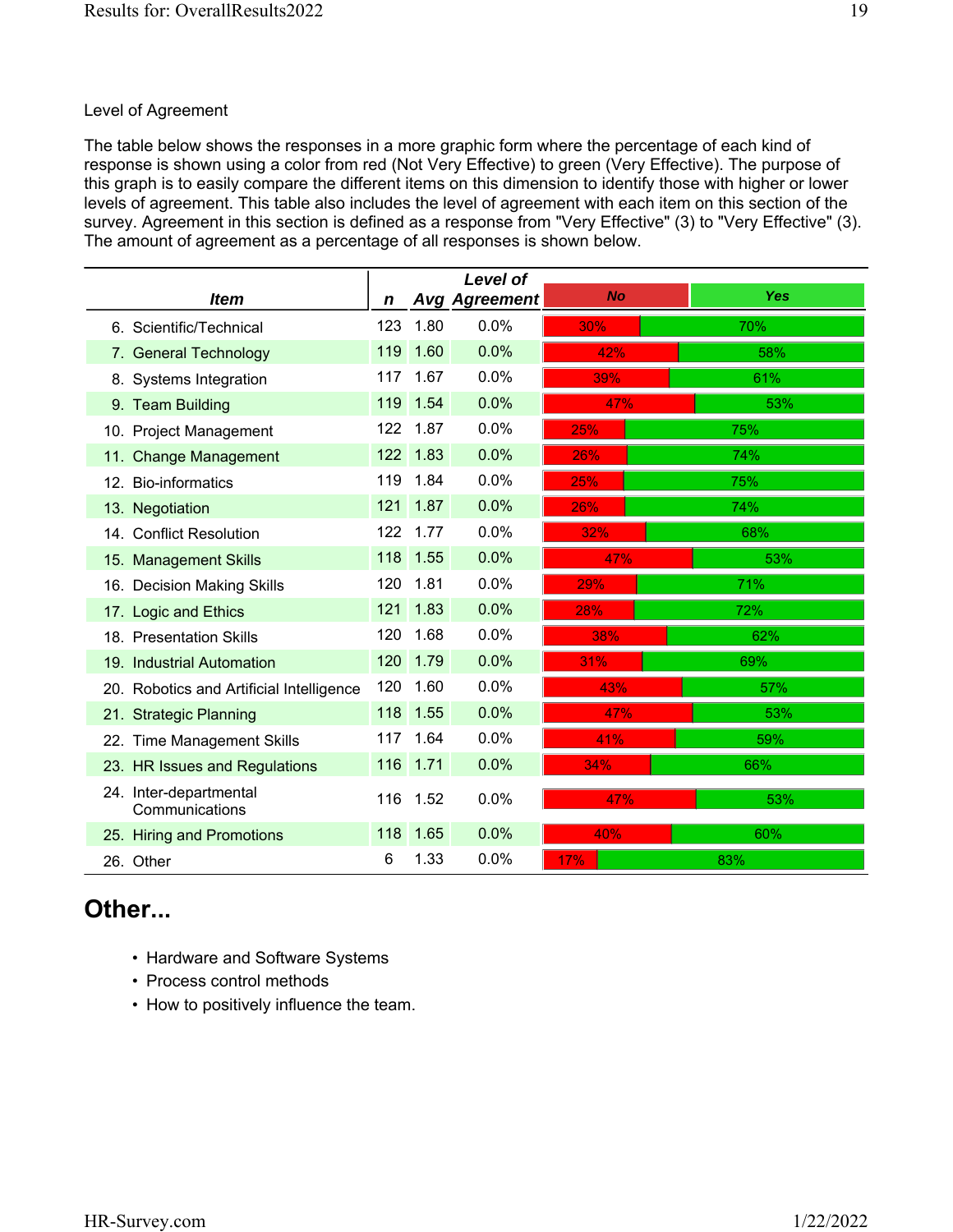#### Level of Agreement

The table below shows the responses in a more graphic form where the percentage of each kind of response is shown using a color from red (Not Very Effective) to green (Very Effective). The purpose of this graph is to easily compare the different items on this dimension to identify those with higher or lower levels of agreement. This table also includes the level of agreement with each item on this section of the survey. Agreement in this section is defined as a response from "Very Effective" (3) to "Very Effective" (3). The amount of agreement as a percentage of all responses is shown below.

|    |                                          |     |      | <b>Level of</b>      |           |            |
|----|------------------------------------------|-----|------|----------------------|-----------|------------|
|    | <i>Item</i>                              | n   |      | <b>Avg Agreement</b> | <b>No</b> | <b>Yes</b> |
|    | 6. Scientific/Technical                  | 123 | 1.80 | 0.0%                 | 30%       | 70%        |
| 7. | <b>General Technology</b>                | 119 | 1.60 | 0.0%                 | 42%       | 58%        |
|    | 8. Systems Integration                   | 117 | 1.67 | 0.0%                 | 39%       | 61%        |
|    | 9. Team Building                         | 119 | 1.54 | 0.0%                 | 47%       | 53%        |
|    | 10. Project Management                   | 122 | 1.87 | 0.0%                 | 25%       | 75%        |
|    | 11. Change Management                    | 122 | 1.83 | 0.0%                 | 26%       | 74%        |
|    | 12. Bio-informatics                      | 119 | 1.84 | 0.0%                 | 25%       | 75%        |
|    | 13. Negotiation                          | 121 | 1.87 | 0.0%                 | 26%       | 74%        |
|    | 14. Conflict Resolution                  | 122 | 1.77 | 0.0%                 | 32%       | 68%        |
|    | 15. Management Skills                    | 118 | 1.55 | 0.0%                 | 47%       | 53%        |
|    | 16. Decision Making Skills               | 120 | 1.81 | 0.0%                 | 29%       | 71%        |
|    | 17. Logic and Ethics                     | 121 | 1.83 | 0.0%                 | 28%       | 72%        |
|    | 18. Presentation Skills                  | 120 | 1.68 | 0.0%                 | 38%       | 62%        |
|    | 19. Industrial Automation                | 120 | 1.79 | 0.0%                 | 31%       | 69%        |
|    | 20. Robotics and Artificial Intelligence | 120 | 1.60 | 0.0%                 | 43%       | 57%        |
|    | 21. Strategic Planning                   | 118 | 1.55 | 0.0%                 | 47%       | 53%        |
|    | 22. Time Management Skills               | 117 | 1.64 | 0.0%                 | 41%       | 59%        |
|    | 23. HR Issues and Regulations            | 116 | 1.71 | 0.0%                 | 34%       | 66%        |
|    | 24. Inter-departmental<br>Communications | 116 | 1.52 | 0.0%                 | 47%       | 53%        |
|    | 25. Hiring and Promotions                | 118 | 1.65 | 0.0%                 | 40%       | 60%        |
|    | 26. Other                                | 6   | 1.33 | 0.0%                 | 17%       | 83%        |

#### **Other...**

- Hardware and Software Systems
- Process control methods
- How to positively influence the team.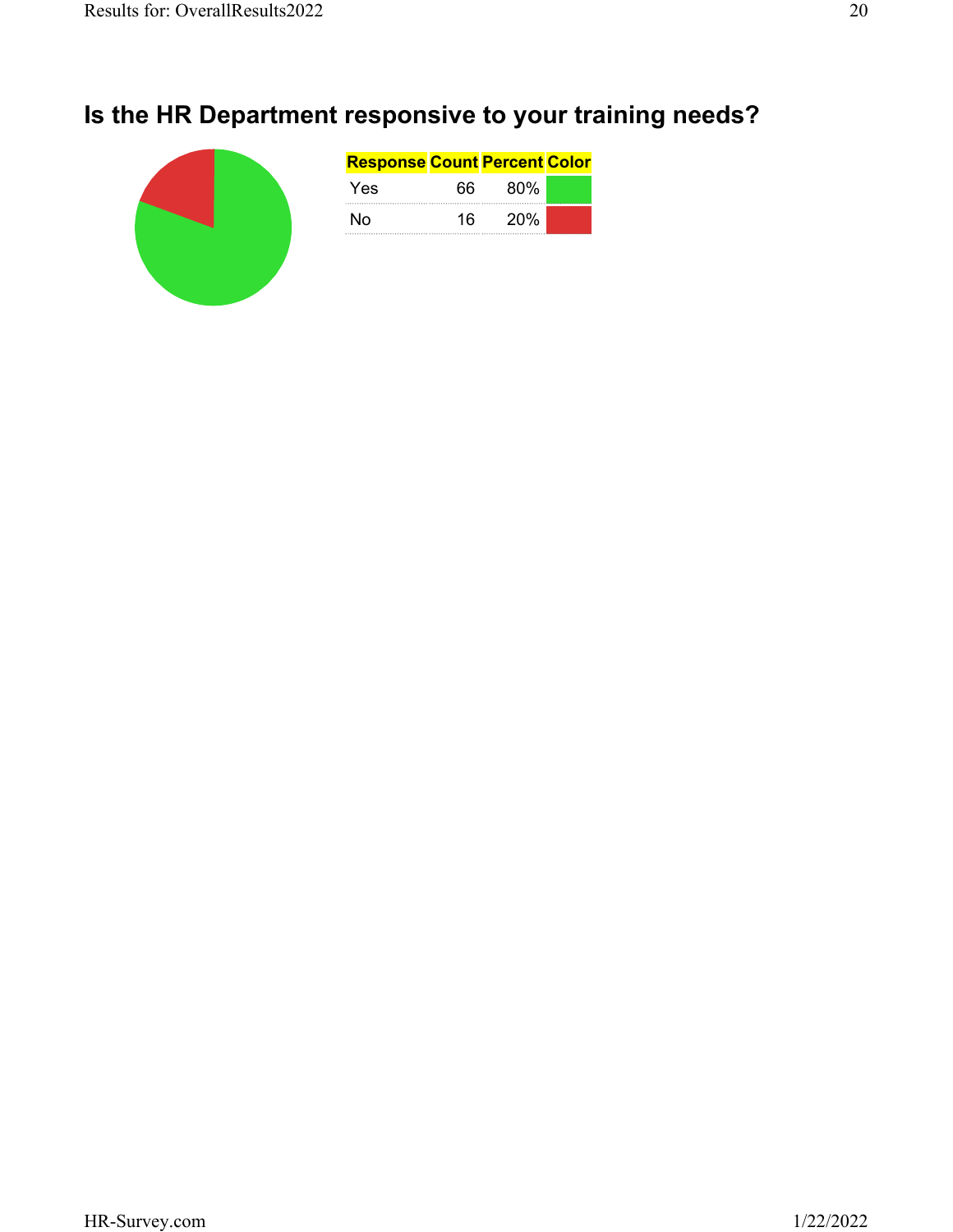# **Is the HR Department responsive to your training needs?**

|  | <b>Response Count Percent Color</b> |     |     |  |
|--|-------------------------------------|-----|-----|--|
|  | Yes                                 | 66  | 80% |  |
|  | N٥                                  | 16. | 20% |  |
|  |                                     |     |     |  |
|  |                                     |     |     |  |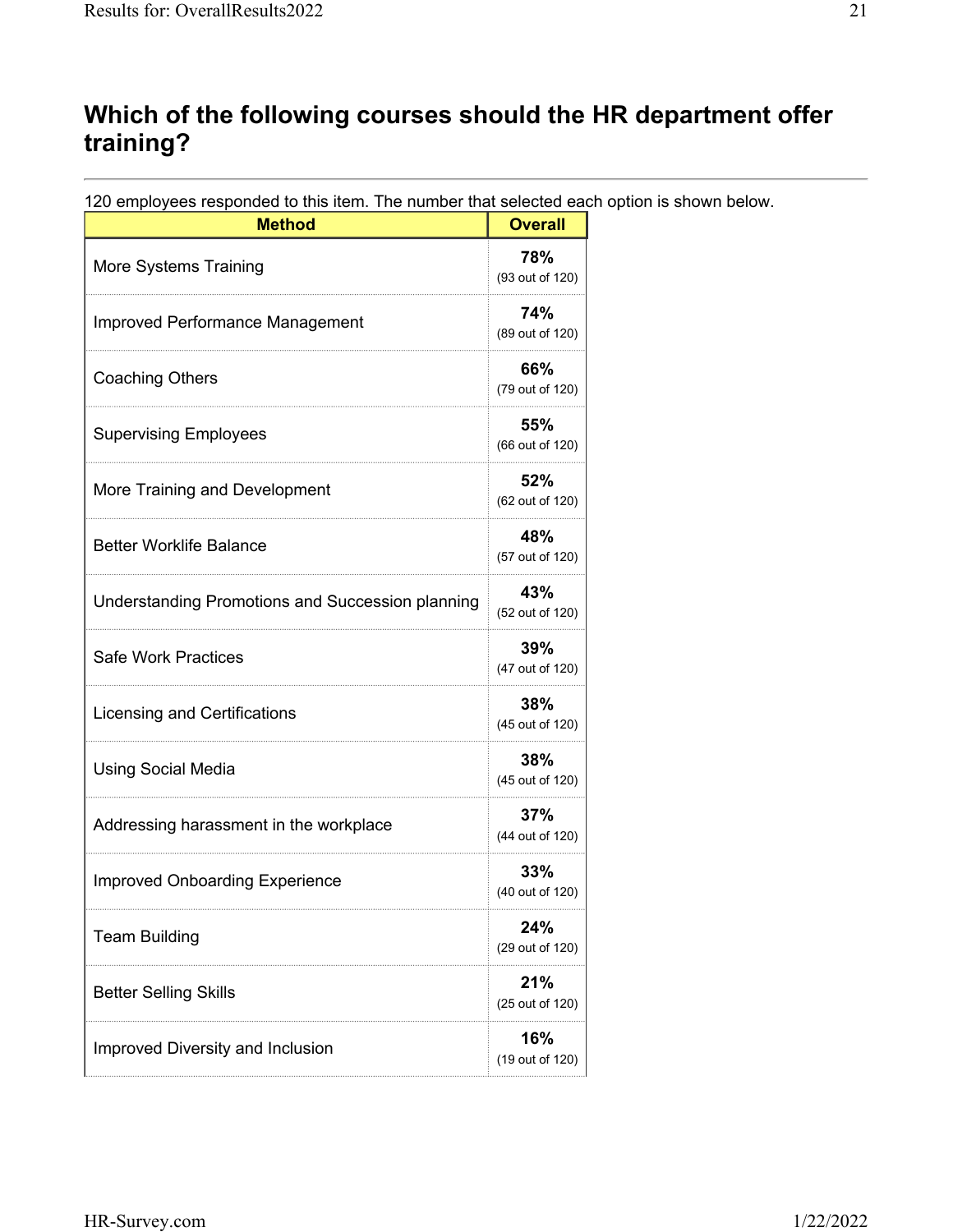## **Which of the following courses should the HR department offer training?**

120 employees responded to this item. The number that selected each option is shown below.

| <b>Method</b>                                           | <b>Overall</b>         |
|---------------------------------------------------------|------------------------|
| More Systems Training                                   | 78%<br>(93 out of 120) |
| Improved Performance Management                         | 74%<br>(89 out of 120) |
| <b>Coaching Others</b>                                  | 66%<br>(79 out of 120) |
| <b>Supervising Employees</b>                            | 55%<br>(66 out of 120) |
| More Training and Development                           | 52%<br>(62 out of 120) |
| <b>Better Worklife Balance</b>                          | 48%<br>(57 out of 120) |
| <b>Understanding Promotions and Succession planning</b> | 43%<br>(52 out of 120) |
| <b>Safe Work Practices</b>                              | 39%<br>(47 out of 120) |
| Licensing and Certifications                            | 38%<br>(45 out of 120) |
| <b>Using Social Media</b>                               | 38%<br>(45 out of 120) |
| Addressing harassment in the workplace                  | 37%<br>(44 out of 120) |
| <b>Improved Onboarding Experience</b>                   | 33%<br>(40 out of 120) |
| <b>Team Building</b>                                    | 24%<br>(29 out of 120) |
| <b>Better Selling Skills</b>                            | 21%<br>(25 out of 120) |
| Improved Diversity and Inclusion                        | 16%<br>(19 out of 120) |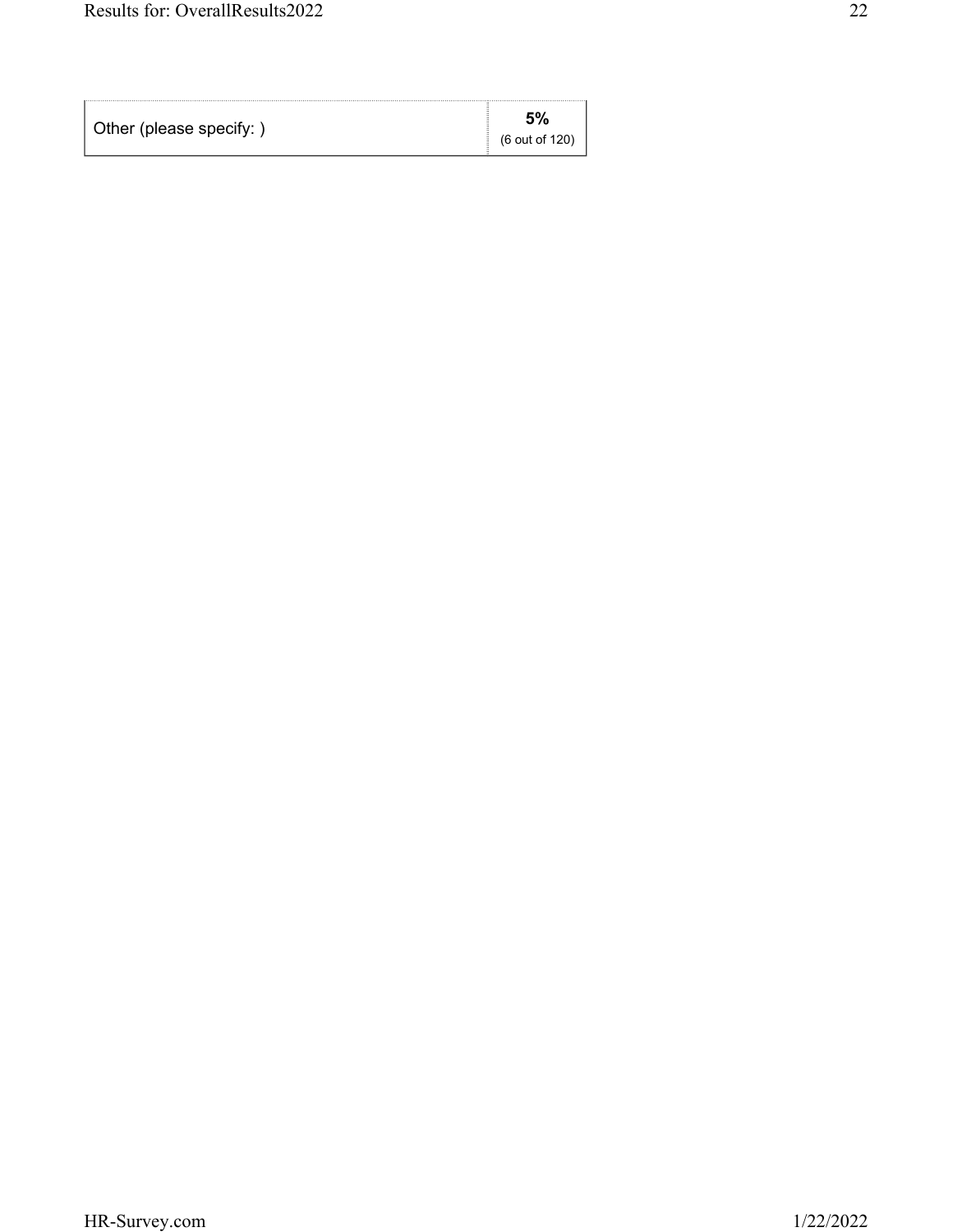| Other (please specify:) | 5%             |
|-------------------------|----------------|
|                         | (6 out of 120) |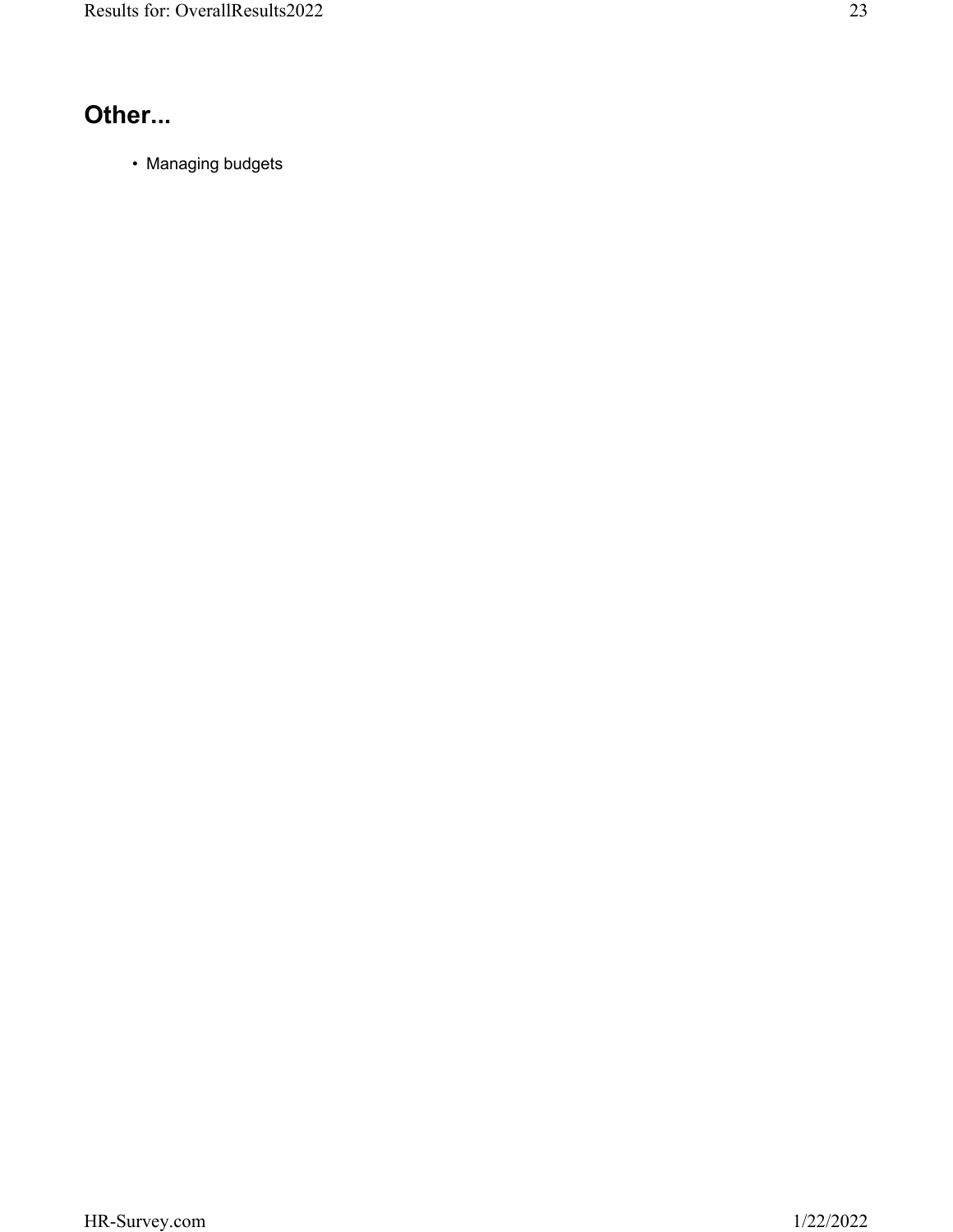# **Other...**

• Managing budgets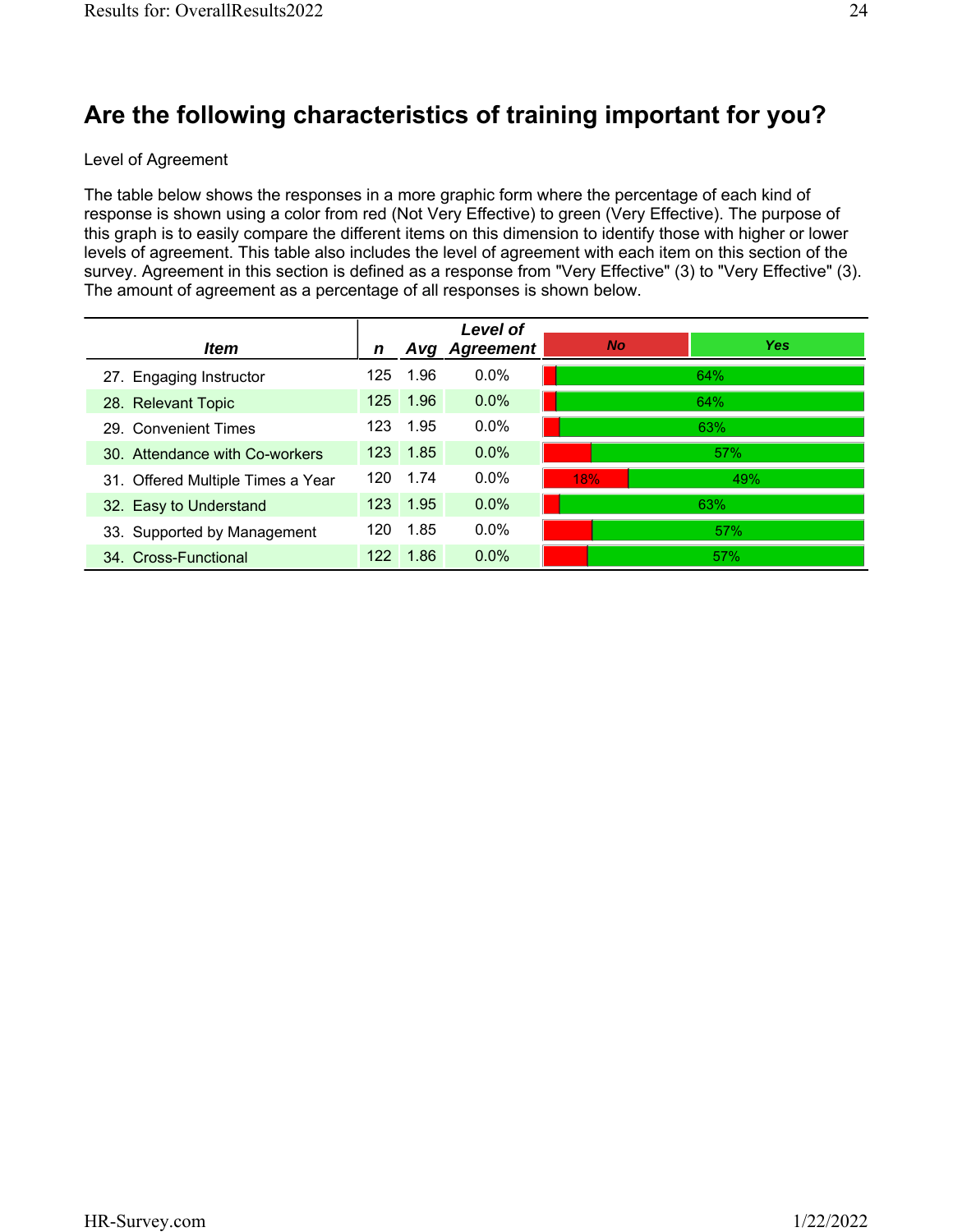## **Are the following characteristics of training important for you?**

#### Level of Agreement

The table below shows the responses in a more graphic form where the percentage of each kind of response is shown using a color from red (Not Very Effective) to green (Very Effective). The purpose of this graph is to easily compare the different items on this dimension to identify those with higher or lower levels of agreement. This table also includes the level of agreement with each item on this section of the survey. Agreement in this section is defined as a response from "Very Effective" (3) to "Very Effective" (3). The amount of agreement as a percentage of all responses is shown below.

|                                   |     |          | Level of      |           |            |
|-----------------------------------|-----|----------|---------------|-----------|------------|
| <i>Item</i>                       | n   |          | Avg Agreement | <b>No</b> | <b>Yes</b> |
| 27. Engaging Instructor           | 125 | 1.96     | $0.0\%$       |           | 64%        |
| 28. Relevant Topic                | 125 | 1.96     | 0.0%          |           | 64%        |
| 29. Convenient Times              | 123 | 1.95     | $0.0\%$       |           | 63%        |
| 30. Attendance with Co-workers    |     | 123 1.85 | 0.0%          |           | 57%        |
| 31. Offered Multiple Times a Year | 120 | 1.74     | $0.0\%$       | 18%       | 49%        |
| 32. Easy to Understand            |     | 123 1.95 | 0.0%          |           | 63%        |
| 33. Supported by Management       | 120 | 1.85     | $0.0\%$       |           | 57%        |
| 34. Cross-Functional              | 122 | 1.86     | $0.0\%$       |           | 57%        |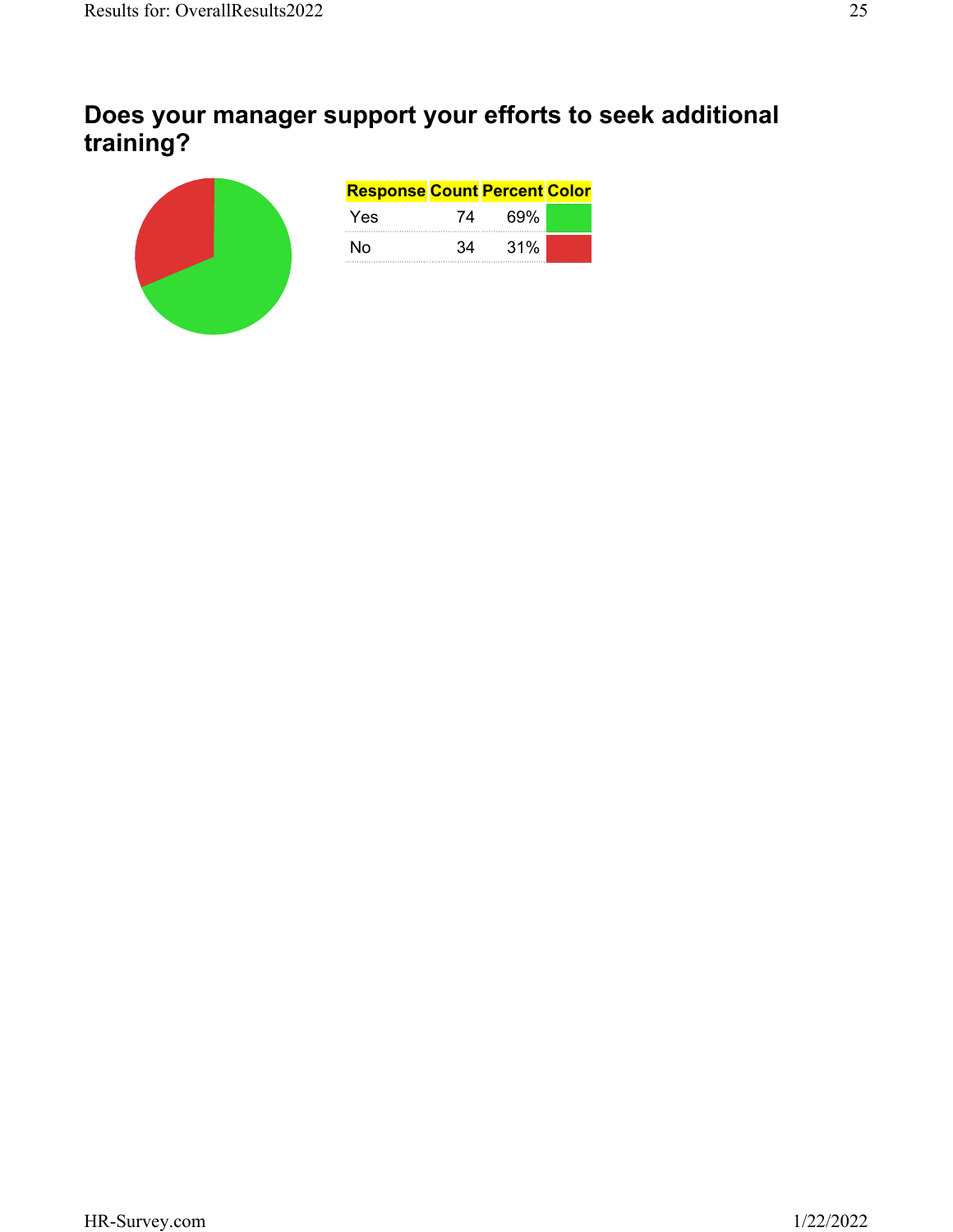## **Does your manager support your efforts to seek additional training?**

| <b>Response Count Percent Color</b> |    |     |  |
|-------------------------------------|----|-----|--|
| Yes                                 | 74 | 69% |  |
| N٥                                  | 34 | 31% |  |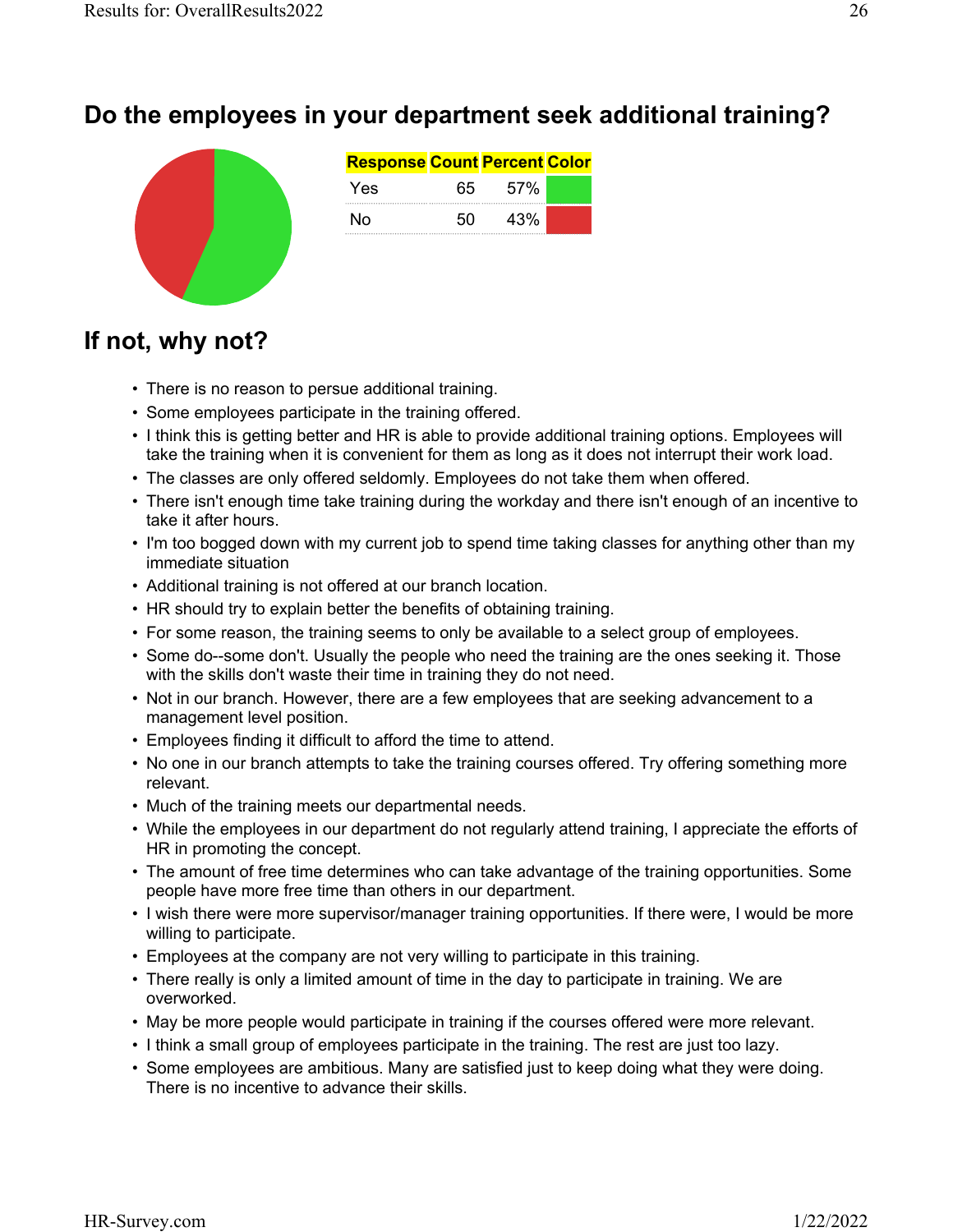

# **If not, why not?**

- There is no reason to persue additional training.
- Some employees participate in the training offered.
- I think this is getting better and HR is able to provide additional training options. Employees will take the training when it is convenient for them as long as it does not interrupt their work load.
- The classes are only offered seldomly. Employees do not take them when offered.
- There isn't enough time take training during the workday and there isn't enough of an incentive to take it after hours.
- I'm too bogged down with my current job to spend time taking classes for anything other than my immediate situation
- Additional training is not offered at our branch location.
- HR should try to explain better the benefits of obtaining training.
- For some reason, the training seems to only be available to a select group of employees.
- Some do--some don't. Usually the people who need the training are the ones seeking it. Those with the skills don't waste their time in training they do not need.
- Not in our branch. However, there are a few employees that are seeking advancement to a management level position.
- Employees finding it difficult to afford the time to attend.
- No one in our branch attempts to take the training courses offered. Try offering something more relevant.
- Much of the training meets our departmental needs.
- While the employees in our department do not regularly attend training, I appreciate the efforts of HR in promoting the concept.
- The amount of free time determines who can take advantage of the training opportunities. Some people have more free time than others in our department.
- I wish there were more supervisor/manager training opportunities. If there were, I would be more willing to participate.
- Employees at the company are not very willing to participate in this training.
- There really is only a limited amount of time in the day to participate in training. We are overworked.
- May be more people would participate in training if the courses offered were more relevant.
- I think a small group of employees participate in the training. The rest are just too lazy.
- Some employees are ambitious. Many are satisfied just to keep doing what they were doing. There is no incentive to advance their skills.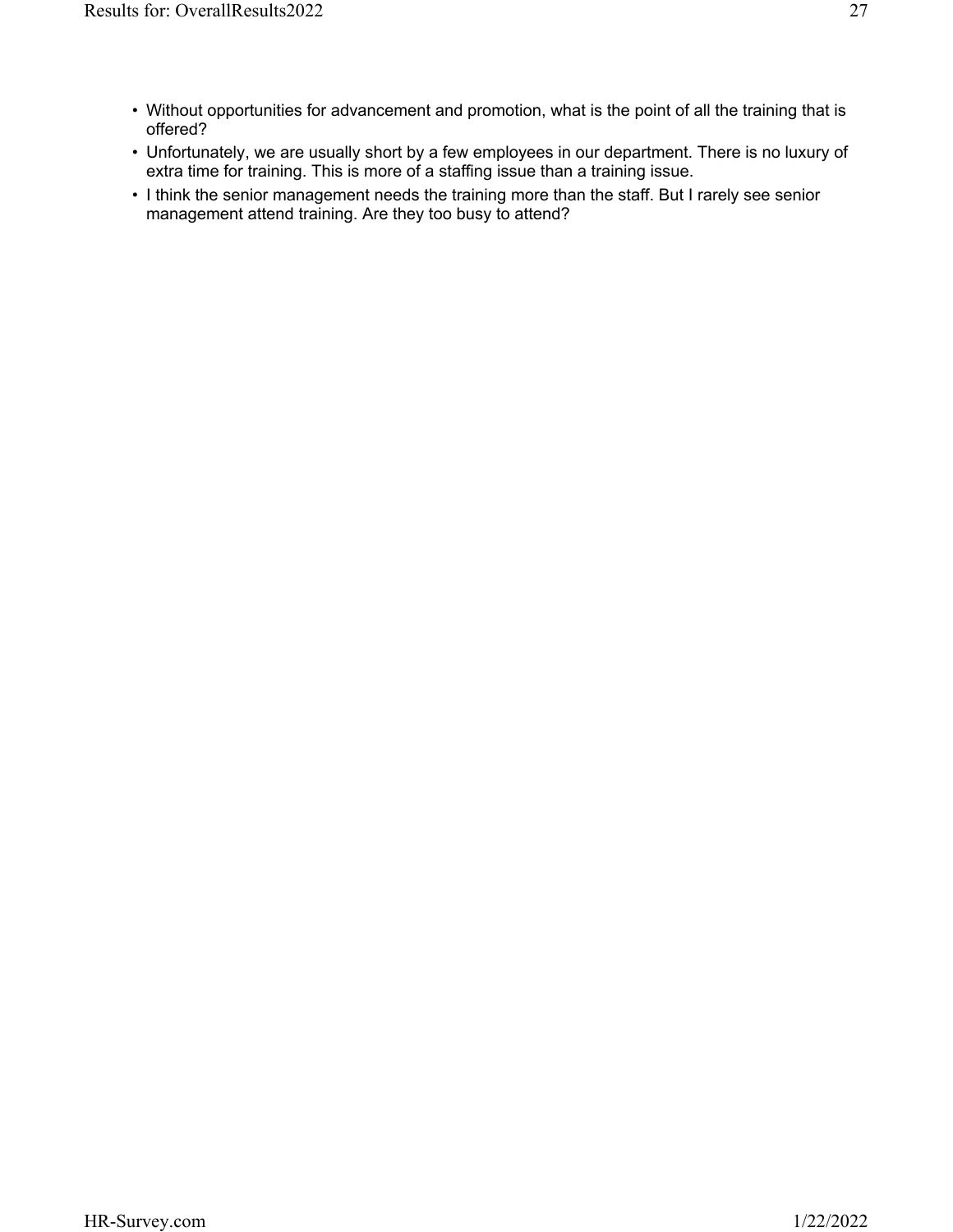- Without opportunities for advancement and promotion, what is the point of all the training that is offered?
- Unfortunately, we are usually short by a few employees in our department. There is no luxury of extra time for training. This is more of a staffing issue than a training issue.
- I think the senior management needs the training more than the staff. But I rarely see senior management attend training. Are they too busy to attend?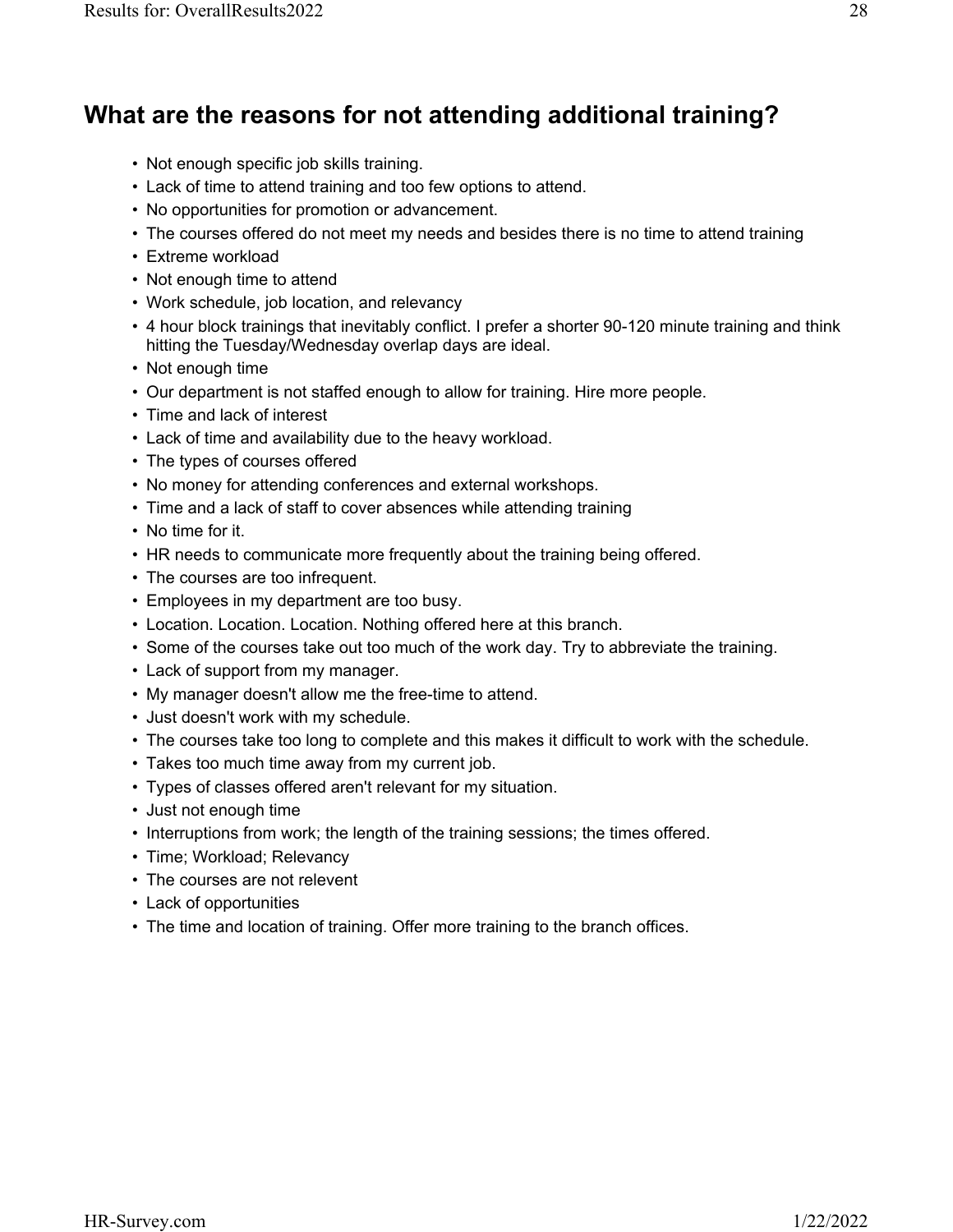#### **What are the reasons for not attending additional training?**

- Not enough specific job skills training.
- Lack of time to attend training and too few options to attend.
- No opportunities for promotion or advancement.
- The courses offered do not meet my needs and besides there is no time to attend training
- Extreme workload
- Not enough time to attend
- Work schedule, job location, and relevancy
- 4 hour block trainings that inevitably conflict. I prefer a shorter 90-120 minute training and think hitting the Tuesday/Wednesday overlap days are ideal.
- Not enough time
- Our department is not staffed enough to allow for training. Hire more people.
- Time and lack of interest
- Lack of time and availability due to the heavy workload.
- The types of courses offered
- No money for attending conferences and external workshops.
- Time and a lack of staff to cover absences while attending training
- No time for it.
- HR needs to communicate more frequently about the training being offered.
- The courses are too infrequent.
- Employees in my department are too busy.
- Location. Location. Location. Nothing offered here at this branch.
- Some of the courses take out too much of the work day. Try to abbreviate the training.
- Lack of support from my manager.
- My manager doesn't allow me the free-time to attend.
- Just doesn't work with my schedule.
- The courses take too long to complete and this makes it difficult to work with the schedule.
- Takes too much time away from my current job.
- Types of classes offered aren't relevant for my situation.
- Just not enough time
- Interruptions from work; the length of the training sessions; the times offered.
- Time; Workload; Relevancy
- The courses are not relevent
- Lack of opportunities
- The time and location of training. Offer more training to the branch offices.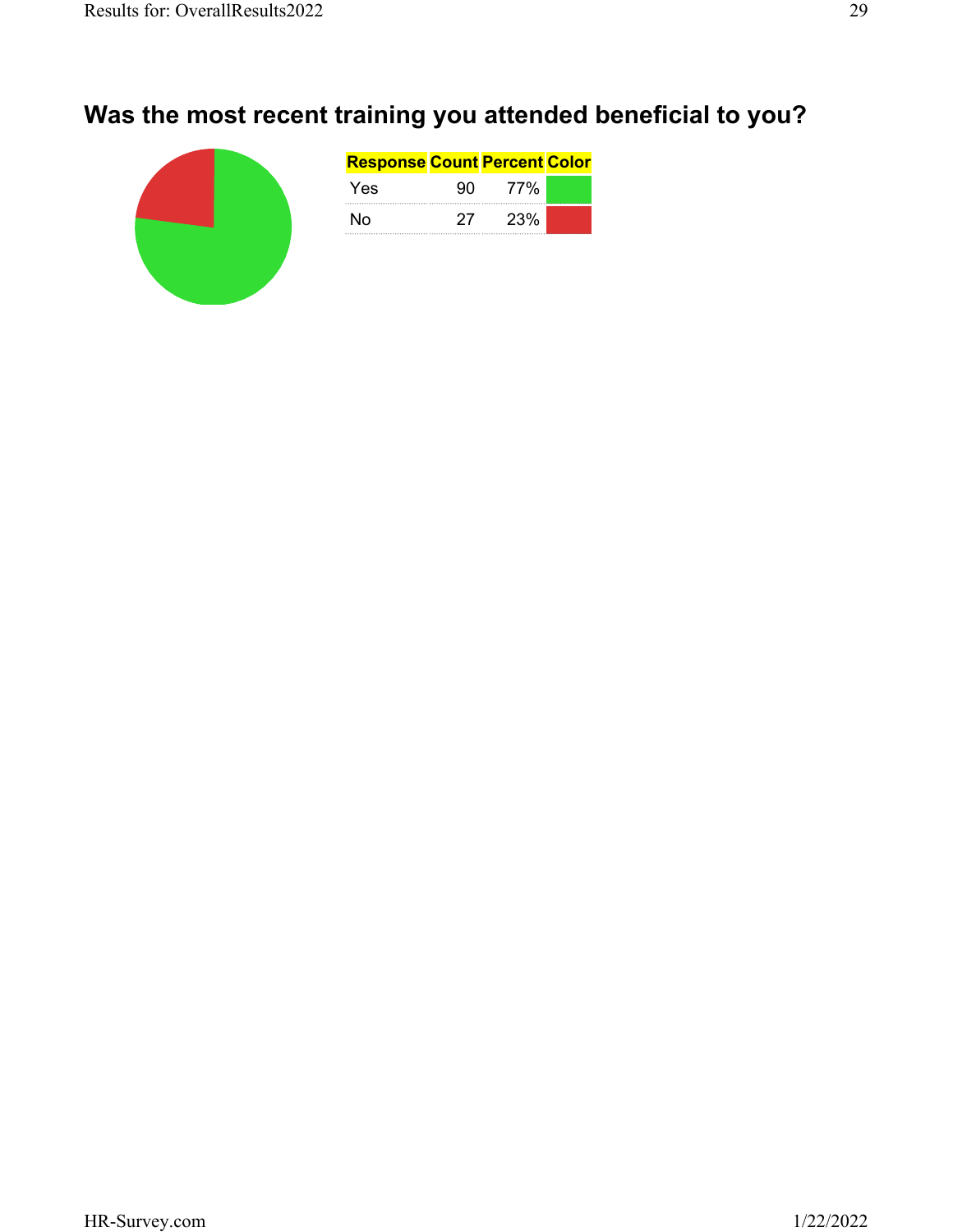# **Was the most recent training you attended beneficial to you?**

| <b>Response Count Percent Color</b> |     |     |  |
|-------------------------------------|-----|-----|--|
| Yes                                 |     | 77% |  |
| N٥                                  | 27. | 23% |  |
|                                     |     |     |  |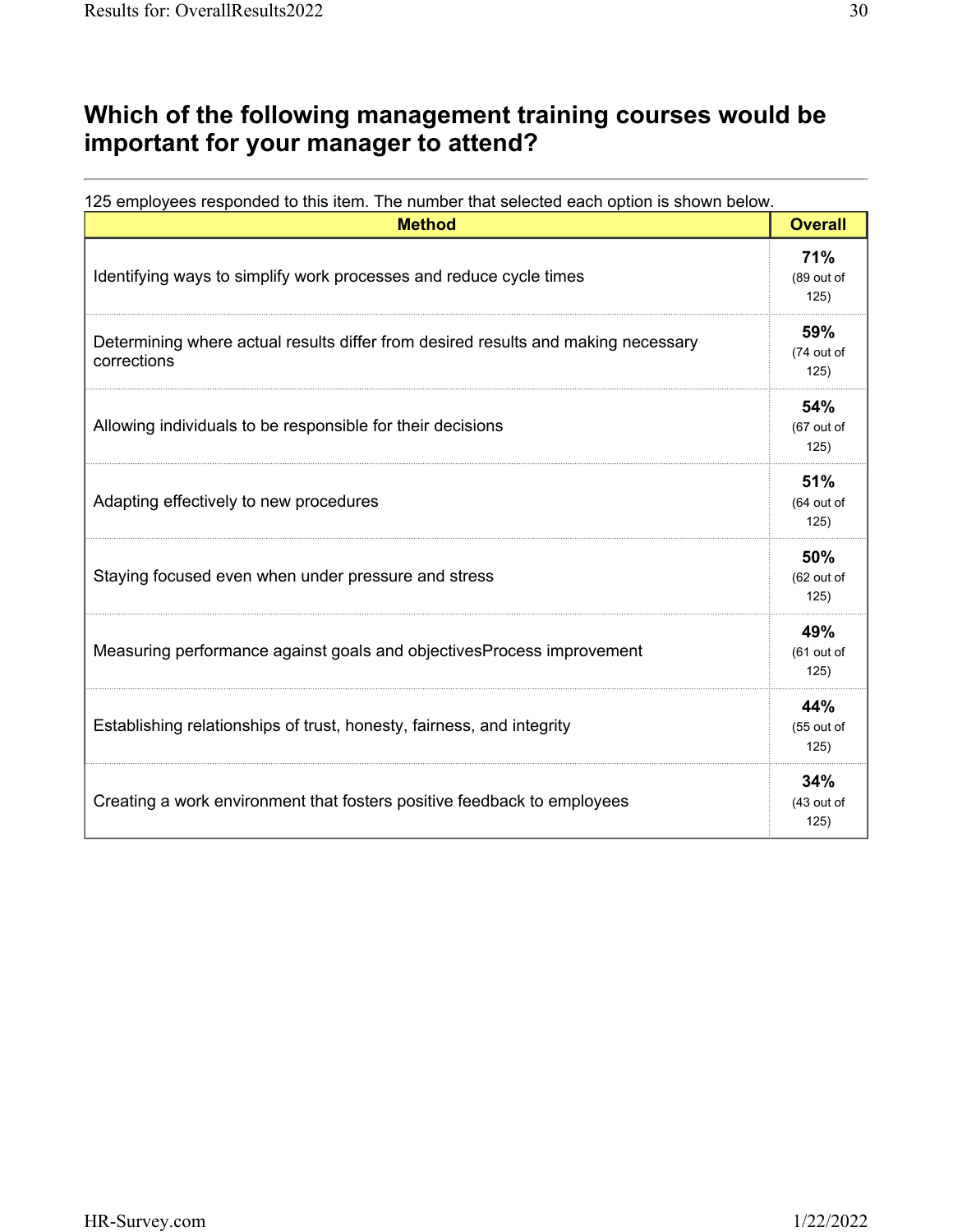### **Which of the following management training courses would be important for your manager to attend?**

| <b>Method</b>                                                                                    | <b>Overall</b>            |
|--------------------------------------------------------------------------------------------------|---------------------------|
| Identifying ways to simplify work processes and reduce cycle times                               | 71%<br>(89 out of<br>125) |
| Determining where actual results differ from desired results and making necessary<br>corrections | 59%<br>(74 out of<br>125) |
| Allowing individuals to be responsible for their decisions                                       | 54%<br>(67 out of<br>125) |
| Adapting effectively to new procedures                                                           | 51%<br>(64 out of<br>125) |
| Staying focused even when under pressure and stress                                              | 50%<br>(62 out of<br>125) |
| Measuring performance against goals and objectivesProcess improvement                            | 49%<br>(61 out of<br>125) |
| Establishing relationships of trust, honesty, fairness, and integrity                            | 44%<br>(55 out of<br>125) |
| Creating a work environment that fosters positive feedback to employees                          | 34%<br>(43 out of<br>125) |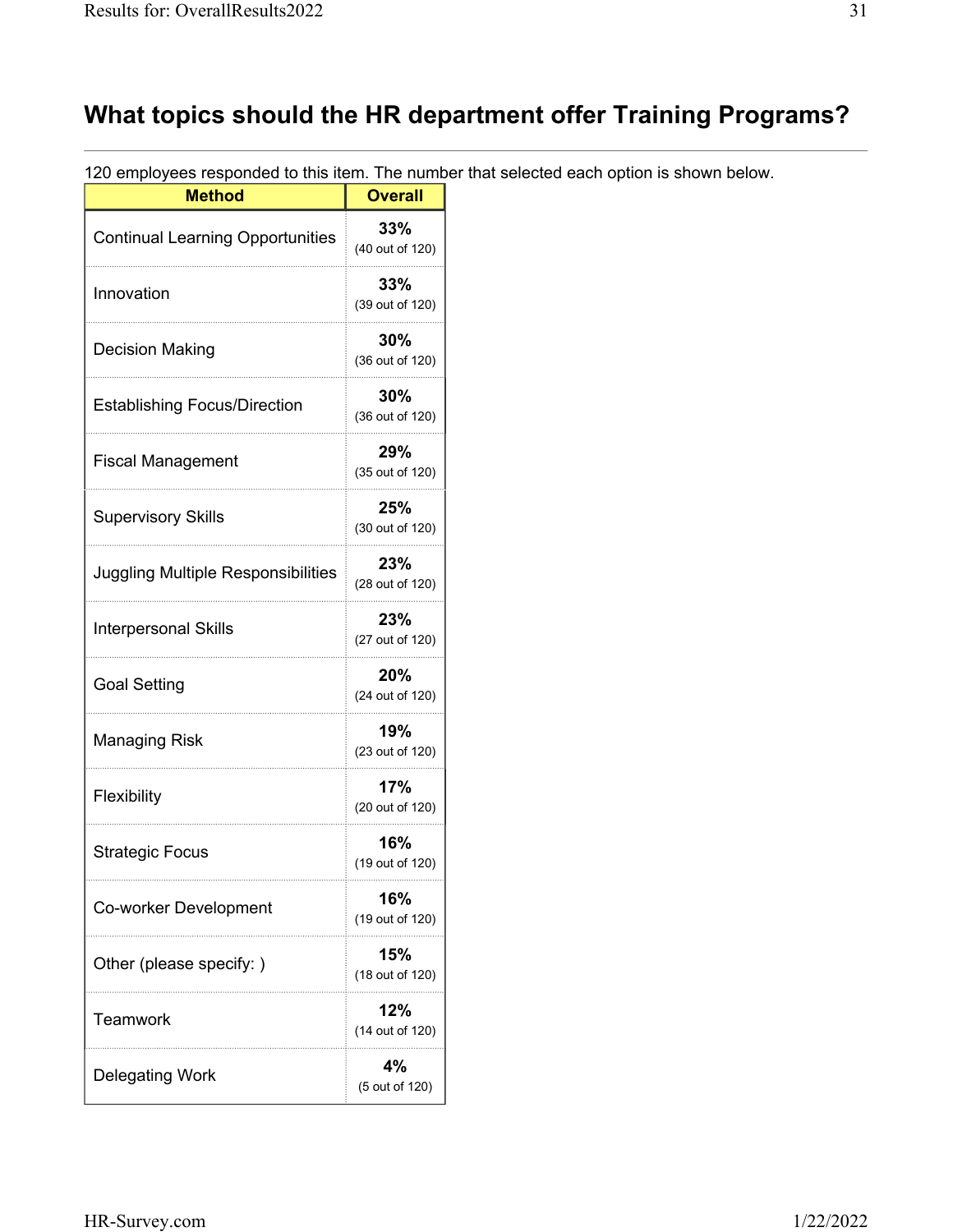# **What topics should the HR department offer Training Programs?**

120 employees responded to this item. The number that selected each option is shown below.

| <u>o ompioyouu ruupunu</u><br><b>Method</b> | <b>Overall</b>            |
|---------------------------------------------|---------------------------|
| <b>Continual Learning Opportunities</b>     | 33%<br>(40 out of 120)    |
| Innovation                                  | 33%<br>(39 out of 120)    |
| <b>Decision Making</b>                      | $30\%$<br>(36 out of 120) |
| <b>Establishing Focus/Direction</b>         | 30%<br>(36 out of 120)    |
| <b>Fiscal Management</b>                    | 29%<br>(35 out of 120)    |
| <b>Supervisory Skills</b>                   | 25%<br>(30 out of 120)    |
| <b>Juggling Multiple Responsibilities</b>   | 23%<br>(28 out of 120)    |
| <b>Interpersonal Skills</b>                 | 23%<br>(27 out of 120)    |
| <b>Goal Setting</b>                         | 20%<br>(24 out of 120)    |
| <b>Managing Risk</b>                        | 19%<br>(23 out of 120)    |
| Flexibility                                 | 17%<br>(20 out of 120)    |
| <b>Strategic Focus</b>                      | 16%<br>(19 out of 120)    |
| Co-worker Development                       | 16%<br>(19 out of 120)    |
| Other (please specify:)                     | 15%<br>(18 out of 120)    |
| Teamwork                                    | 12%<br>(14 out of 120)    |
| <b>Delegating Work</b>                      | 4%<br>(5 out of 120)      |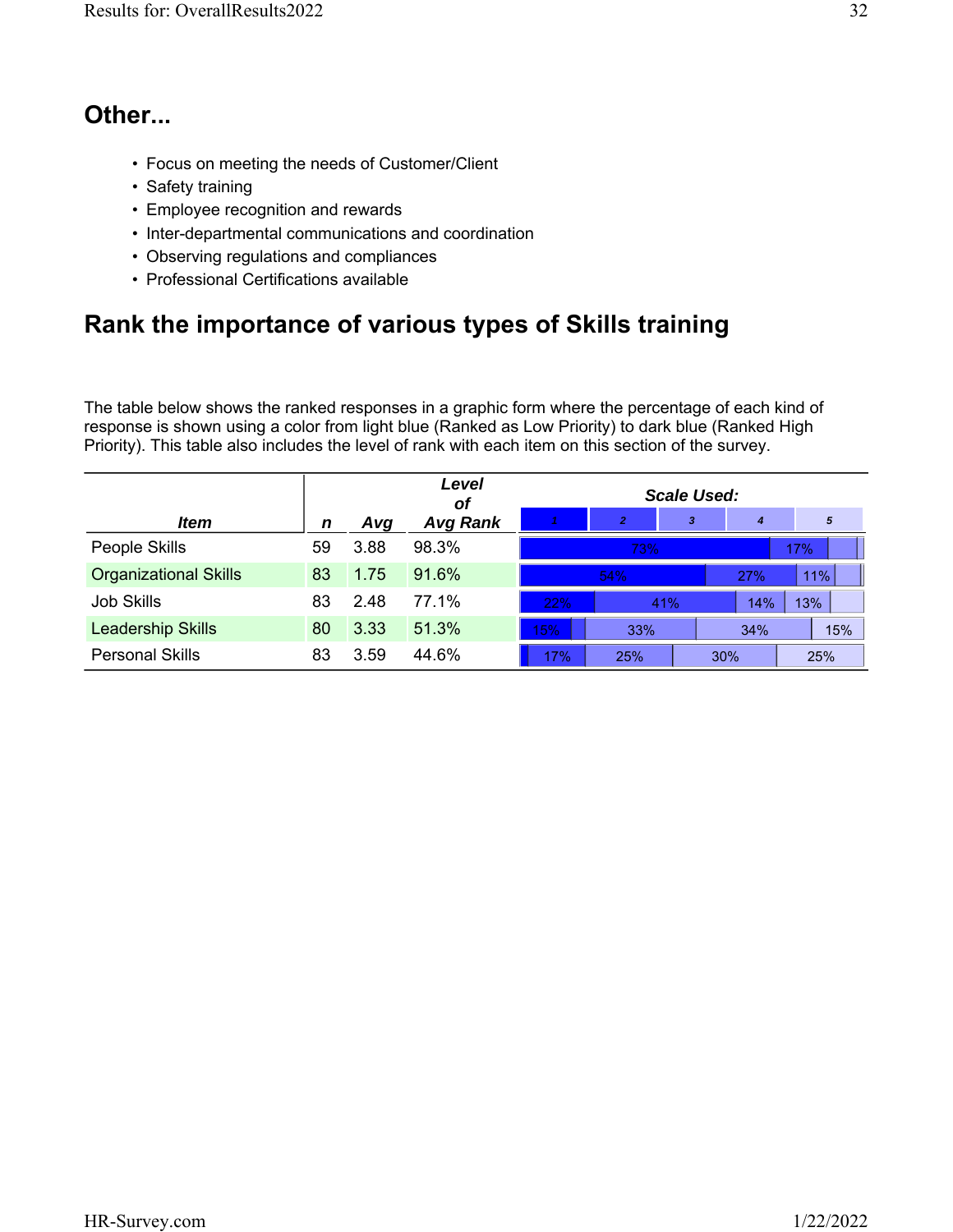#### **Other...**

- Focus on meeting the needs of Customer/Client
- Safety training
- Employee recognition and rewards
- Inter-departmental communications and coordination
- Observing regulations and compliances
- Professional Certifications available

## **Rank the importance of various types of Skills training**

The table below shows the ranked responses in a graphic form where the percentage of each kind of response is shown using a color from light blue (Ranked as Low Priority) to dark blue (Ranked High Priority). This table also includes the level of rank with each item on this section of the survey.

|                              |    |      | Level<br>οf     | Scale Used: |                |     |            |     |
|------------------------------|----|------|-----------------|-------------|----------------|-----|------------|-----|
| <i>Item</i>                  | n  | Avg  | <b>Avg Rank</b> |             | $\overline{2}$ | 3   | 4          | 5   |
| People Skills                | 59 | 3.88 | 98.3%           |             | 73%            |     |            | 17% |
| <b>Organizational Skills</b> | 83 | 1.75 | 91.6%           |             | 54%            |     | <b>27%</b> | 11% |
| <b>Job Skills</b>            | 83 | 2.48 | 77.1%           | 22%         |                | 41% | 14%        | 13% |
| Leadership Skills            | 80 | 3.33 | 51.3%           | 15%         | 33%            |     | 34%        | 15% |
| <b>Personal Skills</b>       | 83 | 3.59 | 44.6%           | 17%         | 25%            |     | 30%        | 25% |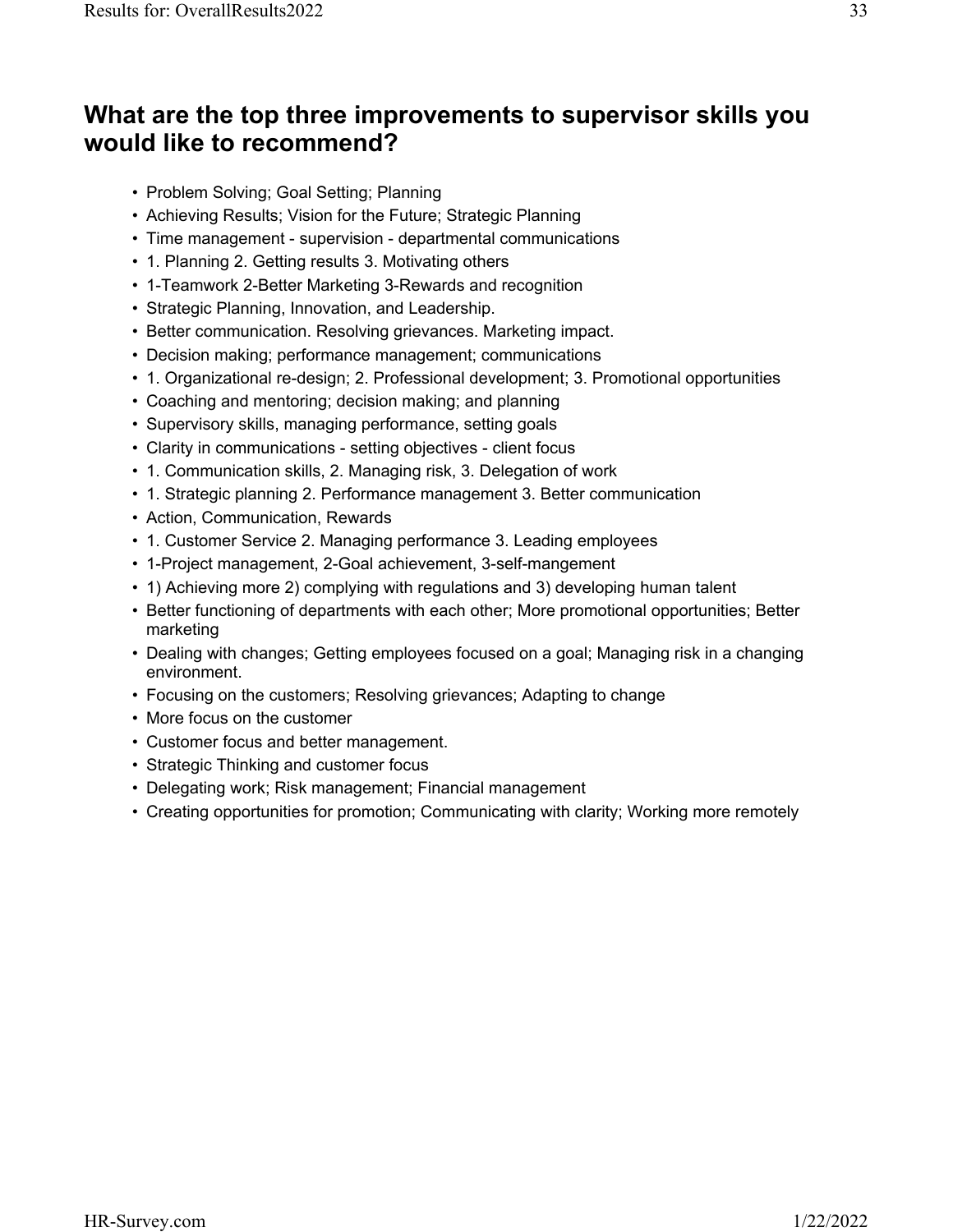#### **What are the top three improvements to supervisor skills you would like to recommend?**

- Problem Solving; Goal Setting; Planning
- Achieving Results; Vision for the Future; Strategic Planning
- Time management supervision departmental communications
- 1. Planning 2. Getting results 3. Motivating others
- 1-Teamwork 2-Better Marketing 3-Rewards and recognition
- Strategic Planning, Innovation, and Leadership.
- Better communication. Resolving grievances. Marketing impact.
- Decision making; performance management; communications
- 1. Organizational re-design; 2. Professional development; 3. Promotional opportunities
- Coaching and mentoring; decision making; and planning
- Supervisory skills, managing performance, setting goals
- Clarity in communications setting objectives client focus
- 1. Communication skills, 2. Managing risk, 3. Delegation of work
- 1. Strategic planning 2. Performance management 3. Better communication
- Action, Communication, Rewards
- 1. Customer Service 2. Managing performance 3. Leading employees
- 1-Project management, 2-Goal achievement, 3-self-mangement
- 1) Achieving more 2) complying with regulations and 3) developing human talent
- Better functioning of departments with each other; More promotional opportunities; Better marketing
- Dealing with changes; Getting employees focused on a goal; Managing risk in a changing environment.
- Focusing on the customers; Resolving grievances; Adapting to change
- More focus on the customer
- Customer focus and better management.
- Strategic Thinking and customer focus
- Delegating work; Risk management; Financial management
- Creating opportunities for promotion; Communicating with clarity; Working more remotely